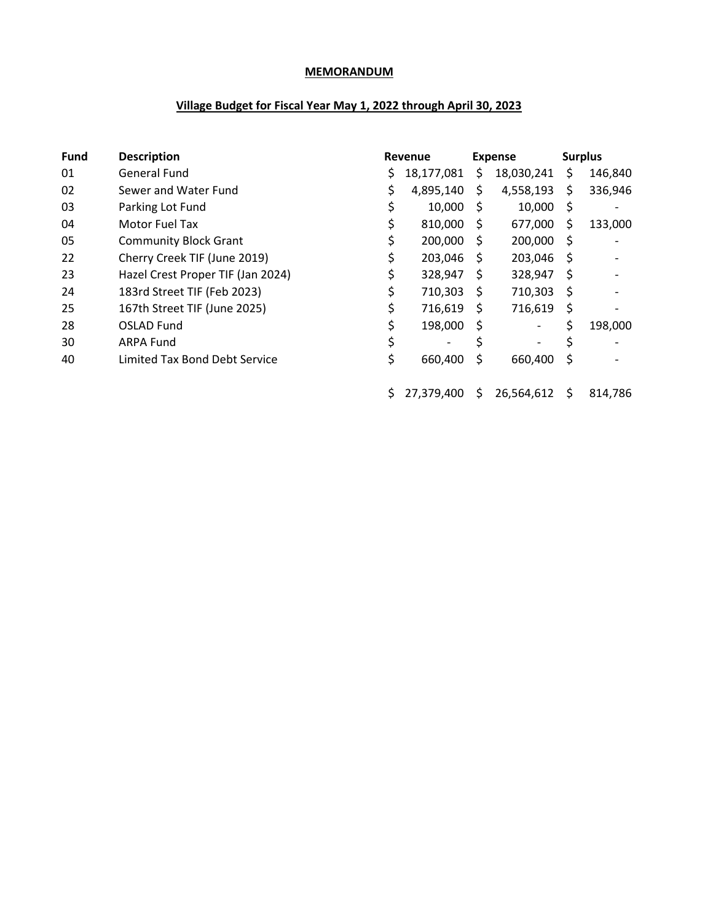## **MEMORANDUM**

## **Village Budget for Fiscal Year May 1, 2022 through April 30, 2023**

| <b>Fund</b> | <b>Description</b>                |    | Revenue    |              | Expense                  | <b>Surplus</b> |                              |  |
|-------------|-----------------------------------|----|------------|--------------|--------------------------|----------------|------------------------------|--|
| 01          | <b>General Fund</b>               | S. | 18,177,081 | S            | 18,030,241               | \$             | 146,840                      |  |
| 02          | Sewer and Water Fund              |    | 4,895,140  | \$           | 4,558,193                | \$             | 336,946                      |  |
| 03          | Parking Lot Fund                  | \$ | 10,000     | S.           | 10,000                   | \$             | $\qquad \qquad \blacksquare$ |  |
| 04          | Motor Fuel Tax                    | \$ | 810,000    | S            | 677,000                  | \$             | 133,000                      |  |
| 05          | <b>Community Block Grant</b>      | \$ | 200,000    | <sup>S</sup> | 200,000                  | Ŝ              |                              |  |
| 22          | Cherry Creek TIF (June 2019)      |    | 203,046    | S            | 203,046                  | S              |                              |  |
| 23          | Hazel Crest Proper TIF (Jan 2024) | \$ | 328,947    | S            | 328,947                  | S              |                              |  |
| 24          | 183rd Street TIF (Feb 2023)       | \$ | 710,303    | S            | 710,303                  | \$             |                              |  |
| 25          | 167th Street TIF (June 2025)      | \$ | 716,619    | S            | 716,619                  | \$             |                              |  |
| 28          | OSLAD Fund                        |    | 198,000    | \$           | $\overline{\phantom{a}}$ | \$             | 198,000                      |  |
| 30          | <b>ARPA Fund</b>                  | \$ |            | \$           | -                        | \$             |                              |  |
| 40          | Limited Tax Bond Debt Service     |    | 660,400    | \$           | 660,400                  | \$             |                              |  |
|             |                                   |    | 27,379,400 | S.           | 26,564,612               | \$             | 814,786                      |  |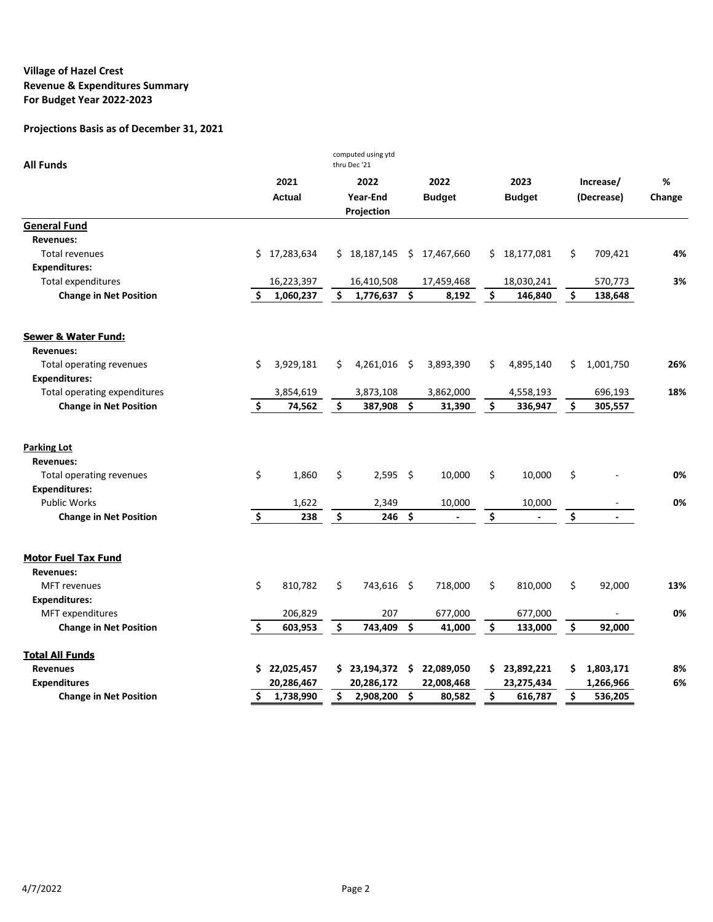| <b>All Funds</b>                                   |                     |               |                     | computed using ytd<br>thru Dec'21 |                         |               |                     |               |                     |                          |        |
|----------------------------------------------------|---------------------|---------------|---------------------|-----------------------------------|-------------------------|---------------|---------------------|---------------|---------------------|--------------------------|--------|
|                                                    |                     | 2021          |                     | 2022                              |                         | 2022          |                     | 2023          |                     | Increase/                | %      |
|                                                    |                     | <b>Actual</b> |                     | Year-End                          |                         | <b>Budget</b> |                     | <b>Budget</b> |                     | (Decrease)               | Change |
|                                                    |                     |               |                     | Projection                        |                         |               |                     |               |                     |                          |        |
| <b>General Fund</b>                                |                     |               |                     |                                   |                         |               |                     |               |                     |                          |        |
| <b>Revenues:</b>                                   |                     |               |                     |                                   |                         |               |                     |               |                     |                          |        |
| <b>Total revenues</b>                              |                     | \$17,283,634  |                     | \$18,187,145                      | $\ddot{\varsigma}$      | 17,467,660    |                     | \$18,177,081  | \$                  | 709,421                  | 4%     |
| <b>Expenditures:</b>                               |                     |               |                     |                                   |                         |               |                     |               |                     |                          |        |
| <b>Total expenditures</b>                          |                     | 16,223,397    |                     | 16,410,508                        |                         | 17,459,468    |                     | 18,030,241    |                     | 570,773                  | 3%     |
| <b>Change in Net Position</b>                      | Ś.                  | 1,060,237     | \$                  | 1,776,637                         | $\overline{\mathbf{s}}$ | 8,192         | \$                  | 146,840       | \$                  | 138,648                  |        |
| <b>Sewer &amp; Water Fund:</b><br><b>Revenues:</b> |                     |               |                     |                                   |                         |               |                     |               |                     |                          |        |
| Total operating revenues<br><b>Expenditures:</b>   | \$                  | 3,929,181     | \$                  | 4,261,016                         | - \$                    | 3,893,390     | \$                  | 4,895,140     | \$.                 | 1,001,750                | 26%    |
| Total operating expenditures                       |                     | 3,854,619     |                     | 3,873,108                         |                         | 3,862,000     |                     | 4,558,193     |                     | 696,193                  | 18%    |
| <b>Change in Net Position</b>                      | $\ddot{\bm{s}}$     | 74,562        | \$                  | 387,908                           | $\mathsf{\hat{S}}$      | 31,390        | $\ddot{\bm{\zeta}}$ | 336,947       | \$                  | 305,557                  |        |
| <b>Parking Lot</b>                                 |                     |               |                     |                                   |                         |               |                     |               |                     |                          |        |
| <b>Revenues:</b>                                   |                     |               |                     |                                   |                         |               |                     |               |                     |                          |        |
| Total operating revenues                           | \$                  | 1,860         | \$                  | 2,595                             | - \$                    | 10.000        | \$                  | 10,000        | \$                  |                          | 0%     |
| <b>Expenditures:</b>                               |                     |               |                     |                                   |                         |               |                     |               |                     |                          |        |
| <b>Public Works</b>                                |                     | 1,622         |                     | 2,349                             |                         | 10,000        |                     | 10,000        |                     |                          | 0%     |
| <b>Change in Net Position</b>                      | $\ddot{\bm{\zeta}}$ | 238           | \$                  | 246                               | Ŝ.                      |               | \$                  |               | \$                  | $\blacksquare$           |        |
| <b>Motor Fuel Tax Fund</b>                         |                     |               |                     |                                   |                         |               |                     |               |                     |                          |        |
| <b>Revenues:</b>                                   |                     |               |                     |                                   |                         |               |                     |               |                     |                          |        |
| <b>MFT</b> revenues                                | \$                  | 810,782       | \$                  | 743,616                           | - \$                    | 718,000       | Ś.                  | 810,000       | \$                  | 92,000                   | 13%    |
| <b>Expenditures:</b>                               |                     |               |                     |                                   |                         |               |                     |               |                     |                          |        |
| MFT expenditures                                   |                     | 206,829       |                     | 207                               |                         | 677,000       |                     | 677,000       |                     | $\overline{\phantom{a}}$ | 0%     |
| <b>Change in Net Position</b>                      | \$                  | 603,953       | $\ddot{\bm{\zeta}}$ | 743,409                           | $\ddot{\bm{\zeta}}$     | 41,000        | $\ddot{\bm{\zeta}}$ | 133,000       | $\ddot{\bm{\zeta}}$ | 92,000                   |        |
| <b>Total All Funds</b>                             |                     |               |                     |                                   |                         |               |                     |               |                     |                          |        |
| <b>Revenues</b>                                    |                     | \$22,025,457  |                     | \$23,194,372                      | - \$                    | 22,089,050    |                     | \$23,892,221  | \$                  | 1,803,171                | 8%     |
| <b>Expenditures</b>                                |                     | 20,286,467    |                     | 20,286,172                        |                         | 22,008,468    |                     | 23,275,434    |                     | 1,266,966                | 6%     |
| <b>Change in Net Position</b>                      | Ś.                  | 1,738,990     | \$                  | 2,908,200                         | $\ddot{\bm{\zeta}}$     | 80,582        | \$                  | 616,787       | \$                  | 536,205                  |        |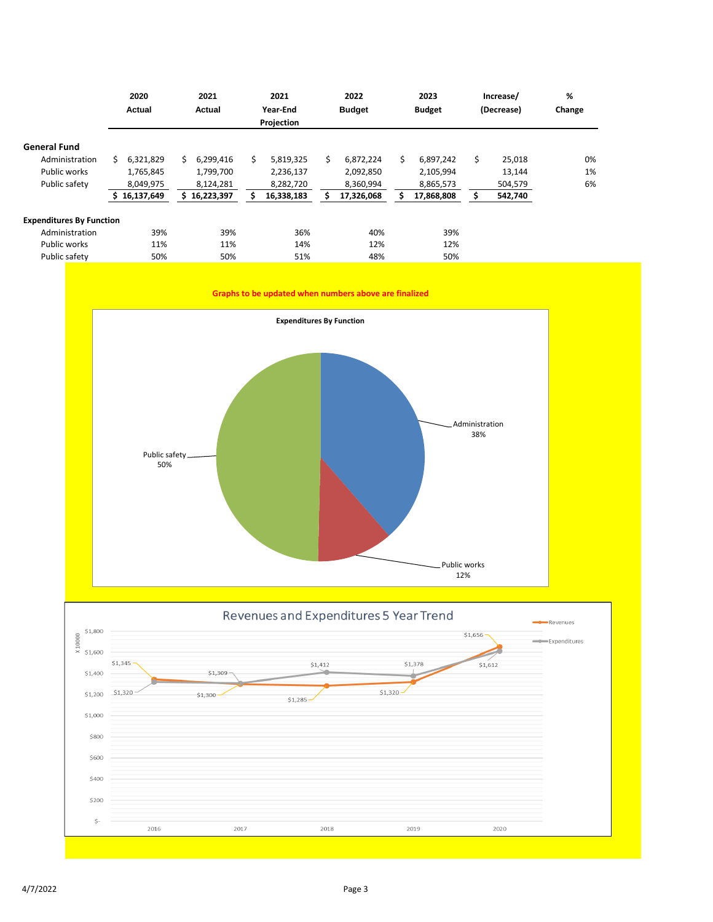|                                 | 2020<br>Actual  | 2021<br>Actual   | 2021<br>Year-End | 2022<br><b>Budget</b> | 2023<br><b>Budget</b> | Increase/<br>(Decrease) | %<br>Change |
|---------------------------------|-----------------|------------------|------------------|-----------------------|-----------------------|-------------------------|-------------|
|                                 |                 |                  | Projection       |                       |                       |                         |             |
| <b>General Fund</b>             |                 |                  |                  |                       |                       |                         |             |
| Administration                  | Ś.<br>6,321,829 | 6.299.416<br>Ś.  | Ś.<br>5,819,325  | Ś.<br>6,872,224       | Ś.<br>6,897,242       | Ś.<br>25,018            | 0%          |
| Public works                    | 1,765,845       | 1,799,700        | 2,236,137        | 2,092,850             | 2,105,994             | 13,144                  | 1%          |
| Public safety                   | 8,049,975       | 8,124,281        | 8,282,720        | 8,360,994             | 8,865,573             | 504,579                 | 6%          |
|                                 | 16,137,649      | 16,223,397<br>S. | 16,338,183       | 17,326,068            | 17,868,808            | 542,740                 |             |
| <b>Expenditures By Function</b> |                 |                  |                  |                       |                       |                         |             |
| Administration                  | 39%             | 39%              | 36%              | 40%                   | 39%                   |                         |             |
| Public works                    | 11%             | 11%              | 14%              | 12%                   | 12%                   |                         |             |
| Public safety                   | 50%             | 50%              | 51%              | 48%                   | 50%                   |                         |             |





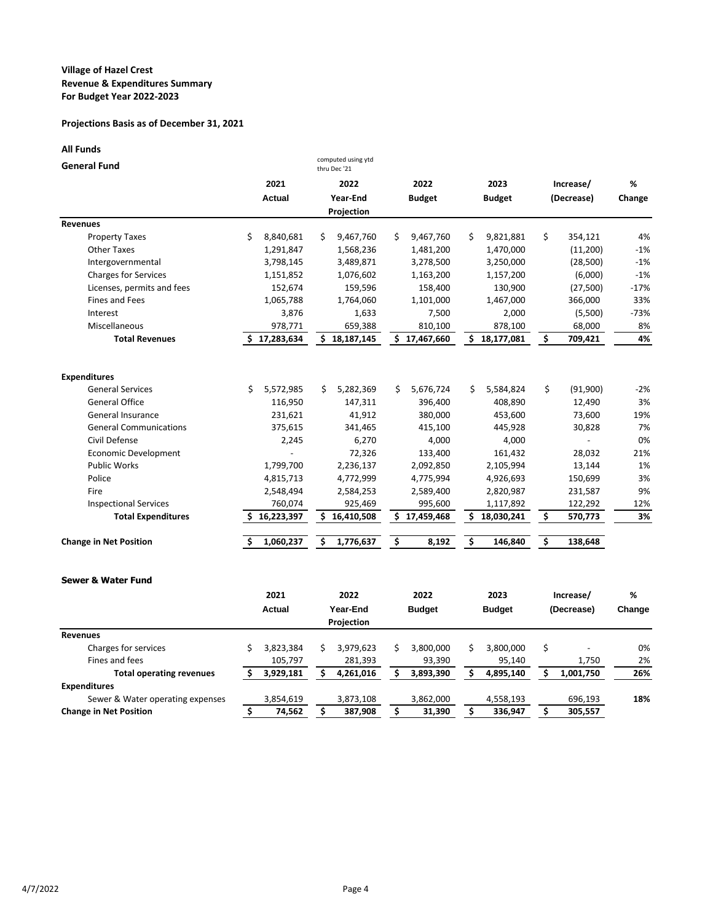## **Projections Basis as of December 31, 2021**

### **All Funds**

| <b>General Fund</b>           |                  | computed using ytd<br>thru Dec '21 |                  |                 |                |        |
|-------------------------------|------------------|------------------------------------|------------------|-----------------|----------------|--------|
|                               | 2021             | 2022                               | 2022             | 2023            | Increase/      | %      |
|                               | Actual           | Year-End                           | <b>Budget</b>    | <b>Budget</b>   | (Decrease)     | Change |
|                               |                  | Projection                         |                  |                 |                |        |
| <b>Revenues</b>               |                  |                                    |                  |                 |                |        |
| <b>Property Taxes</b>         | Ś.<br>8,840,681  | 9,467,760<br>S.                    | Ś.<br>9,467,760  | \$<br>9,821,881 | \$<br>354,121  | 4%     |
| Other Taxes                   | 1,291,847        | 1,568,236                          | 1,481,200        | 1,470,000       | (11,200)       | $-1%$  |
| Intergovernmental             | 3,798,145        | 3,489,871                          | 3,278,500        | 3,250,000       | (28, 500)      | $-1%$  |
| <b>Charges for Services</b>   | 1,151,852        | 1,076,602                          | 1,163,200        | 1,157,200       | (6,000)        | $-1%$  |
| Licenses, permits and fees    | 152,674          | 159,596                            | 158,400          | 130,900         | (27,500)       | $-17%$ |
| Fines and Fees                | 1,065,788        | 1,764,060                          | 1,101,000        | 1,467,000       | 366,000        | 33%    |
| Interest                      | 3,876            | 1,633                              | 7,500            | 2,000           | (5,500)        | $-73%$ |
| Miscellaneous                 | 978,771          | 659,388                            | 810,100          | 878,100         | 68,000         | 8%     |
| <b>Total Revenues</b>         | 17,283,634<br>S. | 18,187,145<br>Ś.                   | \$17,467,660     | \$18,177,081    | \$<br>709,421  | 4%     |
| <b>Expenditures</b>           |                  |                                    |                  |                 |                |        |
| <b>General Services</b>       | Ś.<br>5,572,985  | Ś.<br>5,282,369                    | Ś.<br>5,676,724  | Ś.<br>5,584,824 | Ś.<br>(91,900) | $-2%$  |
| <b>General Office</b>         | 116,950          | 147,311                            | 396,400          | 408,890         | 12,490         | 3%     |
| General Insurance             | 231,621          | 41,912                             | 380,000          | 453,600         | 73,600         | 19%    |
| <b>General Communications</b> | 375,615          | 341,465                            | 415,100          | 445,928         | 30,828         | 7%     |
| Civil Defense                 | 2,245            | 6,270                              | 4,000            | 4,000           |                | 0%     |
| <b>Economic Development</b>   |                  | 72,326                             | 133,400          | 161,432         | 28,032         | 21%    |
| <b>Public Works</b>           | 1,799,700        | 2,236,137                          | 2,092,850        | 2,105,994       | 13,144         | 1%     |
| Police                        | 4,815,713        | 4,772,999                          | 4,775,994        | 4,926,693       | 150,699        | 3%     |
| Fire                          | 2,548,494        | 2,584,253                          | 2,589,400        | 2,820,987       | 231,587        | 9%     |
| <b>Inspectional Services</b>  | 760,074          | 925,469                            | 995,600          | 1,117,892       | 122,292        | 12%    |
| <b>Total Expenditures</b>     | 16,223,397       | 16,410,508<br>s                    | 17,459,468<br>S. | Ś<br>18,030,241 | \$<br>570,773  | 3%     |
| <b>Change in Net Position</b> | 1,060,237<br>\$  | Ś<br>1,776,637                     | \$<br>8,192      | \$<br>146,840   | \$<br>138,648  |        |

### **Sewer & Water Fund**

|                                  | 2021 |               | 2022<br>Year-End |            | 2022<br><b>Budget</b> |           | 2023          |           | Increase/  | %         |     |
|----------------------------------|------|---------------|------------------|------------|-----------------------|-----------|---------------|-----------|------------|-----------|-----|
|                                  |      | <b>Actual</b> |                  |            |                       |           | <b>Budget</b> |           | (Decrease) | Change    |     |
|                                  |      |               |                  | Projection |                       |           |               |           |            |           |     |
| <b>Revenues</b>                  |      |               |                  |            |                       |           |               |           |            |           |     |
| Charges for services             |      | 3,823,384     |                  | 3,979,623  |                       | 3,800,000 |               | 3.800.000 |            |           | 0%  |
| Fines and fees                   |      | 105,797       |                  | 281,393    |                       | 93,390    |               | 95,140    |            | 1,750     | 2%  |
| <b>Total operating revenues</b>  |      | 3,929,181     |                  | 4,261,016  |                       | 3,893,390 |               | 4,895,140 |            | 1,001,750 | 26% |
| <b>Expenditures</b>              |      |               |                  |            |                       |           |               |           |            |           |     |
| Sewer & Water operating expenses |      | 3,854,619     |                  | 3,873,108  |                       | 3,862,000 |               | 4,558,193 |            | 696,193   | 18% |
| <b>Change in Net Position</b>    |      | 74,562        |                  | 387,908    |                       | 31,390    |               | 336,947   |            | 305,557   |     |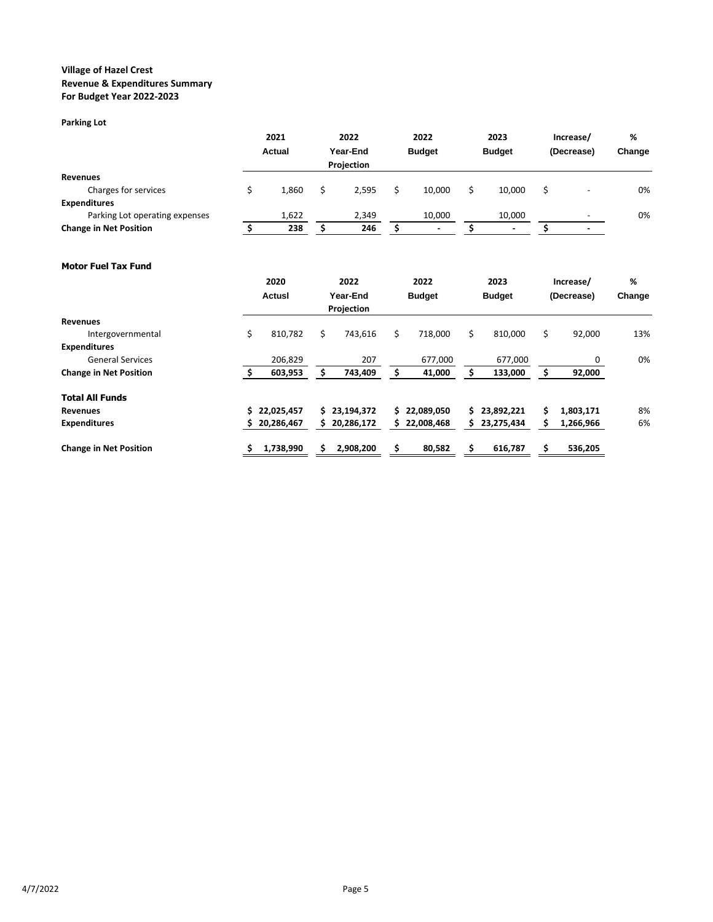#### **Parking Lot**

|                                |  | 2021<br>Actual |  | 2022       |  |                          | 2022 |                | 2023       |   | Increase/ | % |
|--------------------------------|--|----------------|--|------------|--|--------------------------|------|----------------|------------|---|-----------|---|
|                                |  |                |  | Year-End   |  | <b>Budget</b>            |      | <b>Budget</b>  | (Decrease) |   | Change    |   |
|                                |  |                |  | Projection |  |                          |      |                |            |   |           |   |
| <b>Revenues</b>                |  |                |  |            |  |                          |      |                |            |   |           |   |
| Charges for services           |  | 1.860          |  | 2.595      |  | 10.000                   |      | 10.000         |            | - | 0%        |   |
| <b>Expenditures</b>            |  |                |  |            |  |                          |      |                |            |   |           |   |
| Parking Lot operating expenses |  | 1,622          |  | 2,349      |  | 10.000                   |      | 10,000         |            | - | 0%        |   |
| <b>Change in Net Position</b>  |  | 238            |  | 246        |  | $\overline{\phantom{0}}$ |      | $\blacksquare$ |            |   |           |   |

### **Motor Fuel Tax Fund**

|                               | 2020          |    | 2022       | 2022 |               |     | 2023          |    | Increase/  | %      |
|-------------------------------|---------------|----|------------|------|---------------|-----|---------------|----|------------|--------|
|                               | Actusl        |    | Year-End   |      | <b>Budget</b> |     | <b>Budget</b> |    | (Decrease) | Change |
|                               |               |    | Projection |      |               |     |               |    |            |        |
| Revenues                      |               |    |            |      |               |     |               |    |            |        |
| Intergovernmental             | \$<br>810,782 | Ś  | 743,616    | \$   | 718,000       | \$. | 810,000       | Ś. | 92,000     | 13%    |
| <b>Expenditures</b>           |               |    |            |      |               |     |               |    |            |        |
| <b>General Services</b>       | 206,829       |    | 207        |      | 677,000       |     | 677,000       |    | 0          | 0%     |
| <b>Change in Net Position</b> | 603,953       |    | 743,409    | \$   | 41,000        |     | 133,000       |    | 92,000     |        |
| <b>Total All Funds</b>        |               |    |            |      |               |     |               |    |            |        |
| <b>Revenues</b>               | \$22,025,457  | S. | 23,194,372 | S.   | 22.089.050    | S.  | 23,892,221    | Ś  | 1,803,171  | 8%     |
| <b>Expenditures</b>           | 20,286,467    | S. | 20,286,172 | S.   | 22,008,468    | S   | 23,275,434    | s  | 1,266,966  | 6%     |
| <b>Change in Net Position</b> | 1,738,990     |    | 2,908,200  | \$   | 80,582        | Ś.  | 616,787       |    | 536,205    |        |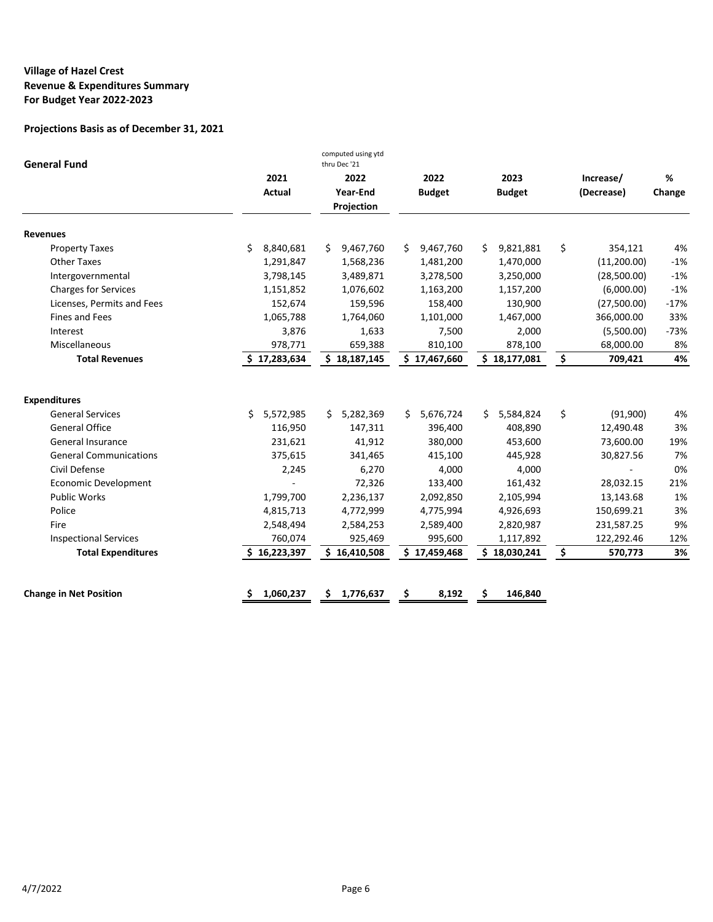| <b>General Fund</b>           |                       | computed using ytd<br>thru Dec '21 |                       |                       |                         |             |
|-------------------------------|-----------------------|------------------------------------|-----------------------|-----------------------|-------------------------|-------------|
|                               | 2021<br><b>Actual</b> | 2022<br>Year-End<br>Projection     | 2022<br><b>Budget</b> | 2023<br><b>Budget</b> | Increase/<br>(Decrease) | %<br>Change |
| <b>Revenues</b>               |                       |                                    |                       |                       |                         |             |
| <b>Property Taxes</b>         | \$<br>8,840,681       | 9,467,760<br>S.                    | 9,467,760<br>S.       | Ś.<br>9,821,881       | \$<br>354,121           | 4%          |
| <b>Other Taxes</b>            | 1,291,847             | 1,568,236                          | 1,481,200             | 1,470,000             | (11,200.00)             | $-1%$       |
| Intergovernmental             | 3,798,145             | 3,489,871                          | 3,278,500             | 3,250,000             | (28,500.00)             | $-1%$       |
| <b>Charges for Services</b>   | 1,151,852             | 1,076,602                          | 1,163,200             | 1,157,200             | (6,000.00)              | $-1%$       |
| Licenses, Permits and Fees    | 152,674               | 159,596                            | 158,400               | 130,900               | (27,500.00)             | $-17%$      |
| <b>Fines and Fees</b>         | 1,065,788             | 1,764,060                          | 1,101,000             | 1,467,000             | 366,000.00              | 33%         |
| Interest                      | 3,876                 | 1,633                              | 7,500                 | 2,000                 | (5,500.00)              | $-73%$      |
| Miscellaneous                 | 978,771               | 659,388                            | 810,100               | 878,100               | 68,000.00               | 8%          |
| <b>Total Revenues</b>         | \$17,283,634          | \$18,187,145                       | \$17,467,660          | \$18,177,081          | \$<br>709,421           | 4%          |
| <b>Expenditures</b>           |                       |                                    |                       |                       |                         |             |
| <b>General Services</b>       | Ś.<br>5,572,985       | 5,282,369<br>Ś.                    | 5,676,724<br>Ś.       | \$5,584,824           | \$<br>(91,900)          | 4%          |
| <b>General Office</b>         | 116,950               | 147,311                            | 396,400               | 408,890               | 12,490.48               | 3%          |
| General Insurance             | 231,621               | 41,912                             | 380,000               | 453.600               | 73,600.00               | 19%         |
| <b>General Communications</b> | 375.615               | 341,465                            | 415.100               | 445.928               | 30,827.56               | 7%          |
| Civil Defense                 | 2,245                 | 6,270                              | 4,000                 | 4,000                 |                         | 0%          |
| <b>Economic Development</b>   |                       | 72,326                             | 133,400               | 161,432               | 28,032.15               | 21%         |
| <b>Public Works</b>           | 1,799,700             | 2,236,137                          | 2,092,850             | 2,105,994             | 13,143.68               | 1%          |
| Police                        | 4,815,713             | 4,772,999                          | 4,775,994             | 4,926,693             | 150,699.21              | 3%          |
| Fire                          | 2,548,494             | 2,584,253                          | 2,589,400             | 2,820,987             | 231,587.25              | 9%          |
| <b>Inspectional Services</b>  | 760,074               | 925,469                            | 995,600               | 1,117,892             | 122,292.46              | 12%         |
| <b>Total Expenditures</b>     | \$16,223,397          | \$16,410,508                       | \$17,459,468          | \$18,030,241          | \$<br>570,773           | 3%          |
| <b>Change in Net Position</b> | 1,060,237<br>S        | Ŝ<br>1,776,637                     | \$<br>8,192           | \$<br>146,840         |                         |             |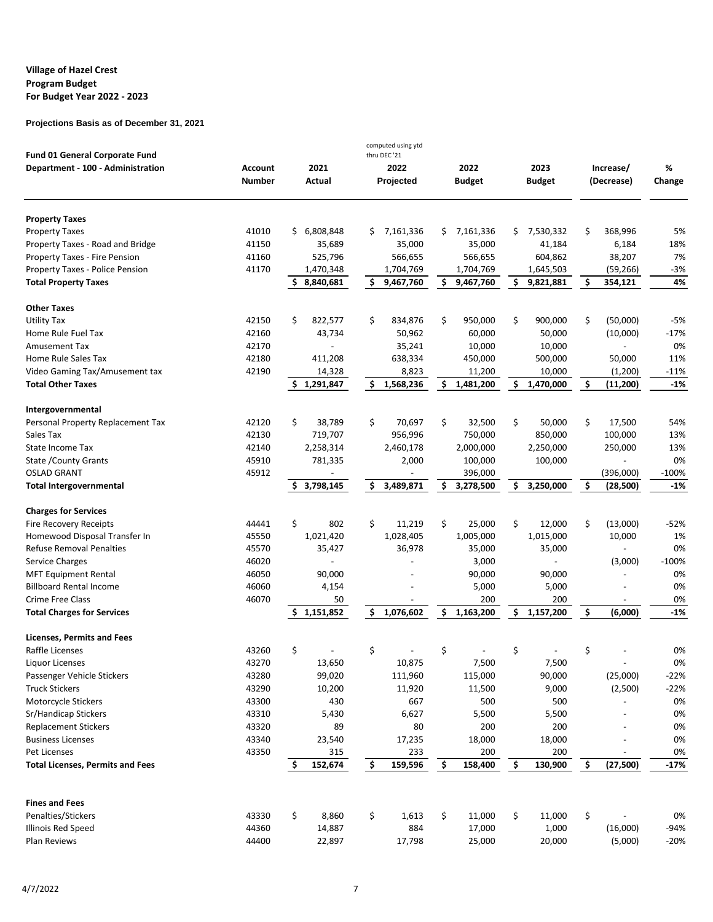|                                                                            |                |     |                |                     | computed using ytd<br>thru DEC '21 |     |               |     |               |                 |         |
|----------------------------------------------------------------------------|----------------|-----|----------------|---------------------|------------------------------------|-----|---------------|-----|---------------|-----------------|---------|
| <b>Fund 01 General Corporate Fund</b><br>Department - 100 - Administration | <b>Account</b> |     | 2021           |                     | 2022                               |     | 2022          |     | 2023          | Increase/       | %       |
|                                                                            | <b>Number</b>  |     | Actual         |                     | Projected                          |     | <b>Budget</b> |     | <b>Budget</b> | (Decrease)      | Change  |
| <b>Property Taxes</b>                                                      |                |     |                |                     |                                    |     |               |     |               |                 |         |
| <b>Property Taxes</b>                                                      | 41010          | \$. | 6,808,848      | s                   | 7,161,336                          | \$  | 7,161,336     | \$  | 7,530,332     | \$<br>368,996   | 5%      |
| Property Taxes - Road and Bridge                                           | 41150          |     | 35,689         |                     | 35,000                             |     | 35,000        |     | 41,184        | 6,184           | 18%     |
| Property Taxes - Fire Pension                                              | 41160          |     | 525,796        |                     | 566,655                            |     | 566,655       |     | 604,862       | 38,207          | 7%      |
| Property Taxes - Police Pension                                            | 41170          |     | 1,470,348      |                     | 1,704,769                          |     | 1,704,769     |     | 1,645,503     | (59, 266)       | -3%     |
| <b>Total Property Taxes</b>                                                |                | \$  | 8,840,681      | \$                  | 9,467,760                          | \$. | 9,467,760     | \$. | 9,821,881     | \$<br>354,121   | 4%      |
| <b>Other Taxes</b>                                                         |                |     |                |                     |                                    |     |               |     |               |                 |         |
| <b>Utility Tax</b>                                                         | 42150          | \$  | 822,577        | \$                  | 834,876                            | \$  | 950,000       | \$  | 900,000       | \$<br>(50,000)  | $-5%$   |
| Home Rule Fuel Tax                                                         | 42160          |     | 43,734         |                     | 50,962                             |     | 60,000        |     | 50,000        | (10,000)        | $-17%$  |
| <b>Amusement Tax</b>                                                       | 42170          |     |                |                     | 35,241                             |     | 10,000        |     | 10,000        |                 | 0%      |
| Home Rule Sales Tax                                                        | 42180          |     | 411,208        |                     | 638,334                            |     | 450,000       |     | 500,000       | 50,000          | 11%     |
| Video Gaming Tax/Amusement tax                                             | 42190          |     | 14,328         |                     | 8,823                              |     | 11,200        |     | 10,000        | (1,200)         | $-11%$  |
| <b>Total Other Taxes</b>                                                   |                |     | 1,291,847      | \$                  | 1,568,236                          | \$  | 1,481,200     | \$  | 1,470,000     | \$<br>(11, 200) | $-1%$   |
| Intergovernmental                                                          |                |     |                |                     |                                    |     |               |     |               |                 |         |
| Personal Property Replacement Tax                                          | 42120          | \$  | 38,789         | \$                  | 70,697                             | \$  | 32,500        | \$  | 50,000        | \$<br>17,500    | 54%     |
| Sales Tax                                                                  | 42130          |     | 719,707        |                     | 956,996                            |     | 750,000       |     | 850,000       | 100,000         | 13%     |
| State Income Tax                                                           | 42140          |     | 2,258,314      |                     | 2,460,178                          |     | 2,000,000     |     | 2,250,000     | 250,000         | 13%     |
| State / County Grants                                                      | 45910          |     | 781,335        |                     | 2,000                              |     | 100,000       |     | 100,000       |                 | 0%      |
| <b>OSLAD GRANT</b>                                                         | 45912          |     |                |                     |                                    |     | 396,000       |     |               | (396,000)       | $-100%$ |
| <b>Total Intergovernmental</b>                                             |                | S.  | 3,798,145      | \$                  | 3,489,871                          | \$  | 3,278,500     | \$  | 3,250,000     | \$<br>(28,500)  | -1%     |
| <b>Charges for Services</b>                                                |                |     |                |                     |                                    |     |               |     |               |                 |         |
| <b>Fire Recovery Receipts</b>                                              | 44441          | \$  | 802            | \$                  | 11,219                             | \$  | 25,000        | \$  | 12,000        | \$<br>(13,000)  | $-52%$  |
| Homewood Disposal Transfer In                                              | 45550          |     | 1,021,420      |                     | 1,028,405                          |     | 1,005,000     |     | 1,015,000     | 10,000          | 1%      |
| <b>Refuse Removal Penalties</b>                                            | 45570          |     | 35,427         |                     | 36,978                             |     | 35,000        |     | 35,000        |                 | 0%      |
| Service Charges                                                            | 46020          |     | $\overline{a}$ |                     |                                    |     | 3,000         |     |               | (3,000)         | $-100%$ |
| <b>MFT Equipment Rental</b>                                                | 46050          |     | 90,000         |                     |                                    |     | 90,000        |     | 90,000        |                 | 0%      |
| <b>Billboard Rental Income</b>                                             | 46060          |     | 4,154          |                     |                                    |     | 5,000         |     | 5,000         |                 | 0%      |
| <b>Crime Free Class</b>                                                    | 46070          |     | 50             |                     |                                    |     | 200           |     | 200           |                 | 0%      |
| <b>Total Charges for Services</b>                                          |                |     | \$1,151,852    | \$                  | 1,076,602                          | \$  | 1,163,200     | \$  | 1,157,200     | \$<br>(6,000)   | $-1%$   |
| Licenses, Permits and Fees                                                 |                |     |                |                     |                                    |     |               |     |               |                 |         |
| Raffle Licenses                                                            | 43260          | \$  |                | \$                  |                                    | \$  |               | \$  |               | \$              | 0%      |
| Liquor Licenses                                                            | 43270          |     | 13,650         |                     | 10,875                             |     | 7,500         |     | 7,500         |                 | 0%      |
| Passenger Vehicle Stickers                                                 | 43280          |     | 99,020         |                     | 111,960                            |     | 115,000       |     | 90,000        | (25,000)        | $-22%$  |
| <b>Truck Stickers</b>                                                      | 43290          |     | 10,200         |                     | 11,920                             |     | 11,500        |     | 9,000         | (2,500)         | $-22%$  |
| Motorcycle Stickers                                                        | 43300          |     | 430            |                     | 667                                |     | 500           |     | 500           |                 | 0%      |
| Sr/Handicap Stickers                                                       | 43310          |     | 5,430          |                     | 6,627                              |     | 5,500         |     | 5,500         |                 | 0%      |
| <b>Replacement Stickers</b>                                                | 43320          |     | 89             |                     | 80                                 |     | 200           |     | 200           |                 | 0%      |
| <b>Business Licenses</b>                                                   | 43340          |     | 23,540         |                     | 17,235                             |     | 18,000        |     | 18,000        |                 | 0%      |
| Pet Licenses                                                               | 43350          |     | 315            |                     | 233                                |     | 200           |     | 200           |                 | 0%      |
| <b>Total Licenses, Permits and Fees</b>                                    |                | Ş   | 152,674        | $\ddot{\bm{\zeta}}$ | 159,596                            | \$  | 158,400       | \$  | 130,900       | \$<br>(27, 500) | $-17%$  |
|                                                                            |                |     |                |                     |                                    |     |               |     |               |                 |         |
| <b>Fines and Fees</b>                                                      |                |     |                |                     |                                    |     |               |     |               |                 |         |
| Penalties/Stickers                                                         | 43330<br>44360 | \$  | 8,860          | \$                  | 1,613                              | \$  | 11,000        | \$  | 11,000        | \$              | 0%      |
| Illinois Red Speed                                                         |                |     | 14,887         |                     | 884                                |     | 17,000        |     | 1,000         | (16,000)        | -94%    |
| Plan Reviews                                                               | 44400          |     | 22,897         |                     | 17,798                             |     | 25,000        |     | 20,000        | (5,000)         | $-20%$  |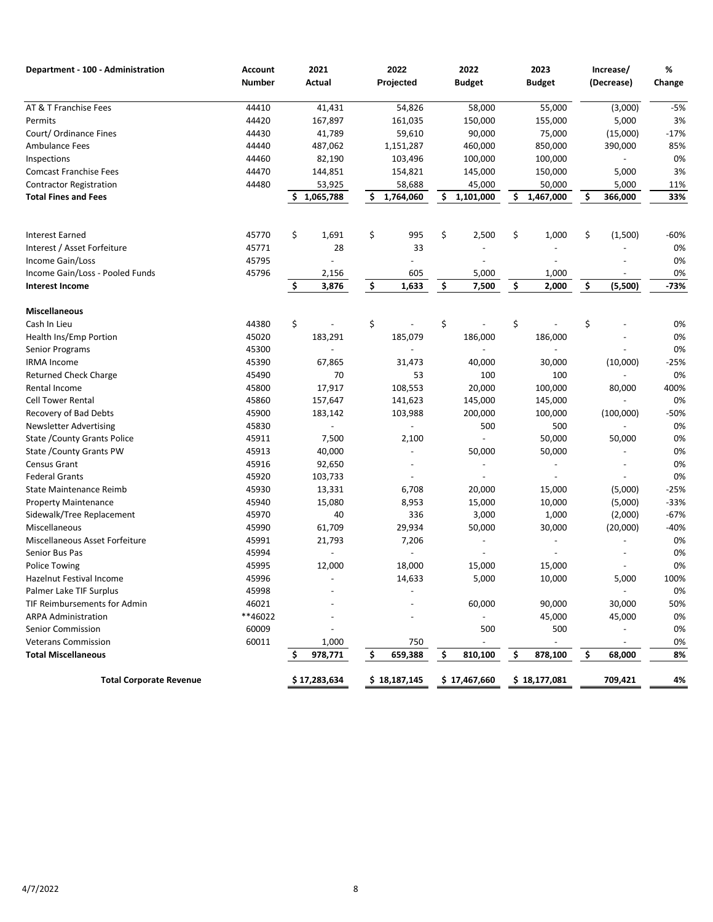| <b>Number</b><br>Actual<br>Projected<br><b>Budget</b><br><b>Budget</b><br>(Decrease)<br>Change<br>44410<br>41,431<br>54,826<br>55,000<br>(3,000)<br>$-5%$<br>58,000<br>44420<br>3%<br>Permits<br>167,897<br>161,035<br>150,000<br>155,000<br>5,000<br>44430<br>$-17%$<br>41,789<br>59,610<br>90,000<br>75,000<br>(15,000)<br>44440<br>85%<br>487,062<br>1,151,287<br>460,000<br>850,000<br>390,000<br>0%<br>44460<br>82,190<br>103,496<br>100,000<br>100,000<br>44470<br>3%<br>144,851<br>154,821<br>145,000<br>150,000<br>5,000<br>44480<br>53,925<br>58,688<br>45,000<br>50,000<br>5,000<br>11%<br>\$<br>\$<br>\$<br>1,764,060<br>\$<br>1,101,000<br>1,467,000<br>366,000<br>33%<br>1,065,788<br>S.<br>\$<br>\$<br>\$<br>\$<br>45770<br>1,691<br>995<br>2,500<br>\$<br>1,000<br>(1,500)<br>$-60%$<br>45771<br>33<br>0%<br>28<br>45795<br>0%<br>45796<br>605<br>0%<br>2,156<br>5,000<br>1,000<br>\$<br>1,633<br>\$<br>\$<br>\$<br>(5,500)<br>$-73%$<br>\$<br>3,876<br>7,500<br>2,000<br>\$<br>\$<br>\$<br>\$<br>\$<br>44380<br>0%<br>45020<br>183,291<br>185,079<br>186,000<br>0%<br>186,000<br>45300<br>0%<br>45390<br>$-25%$<br>67,865<br>31,473<br>40,000<br>30,000<br>(10,000)<br>45490<br>70<br>53<br>100<br>0%<br>100<br>45800<br>108,553<br>20,000<br>400%<br>17,917<br>100,000<br>80,000<br>45860<br>157,647<br>145,000<br>0%<br>141,623<br>145,000<br>45900<br>200,000<br>(100,000)<br>$-50%$<br>183,142<br>103,988<br>100,000<br>45830<br>500<br>500<br>0%<br>$\overline{\phantom{0}}$<br>45911<br>7,500<br>2,100<br>50,000<br>50,000<br>0%<br>45913<br>0%<br>40,000<br>50,000<br>50,000<br>$\overline{\phantom{a}}$<br>45916<br>0%<br>92,650<br>$\overline{\phantom{a}}$<br>45920<br>0%<br>103,733<br>45930<br>6,708<br>$-25%$<br>State Maintenance Reimb<br>13,331<br>20,000<br>15,000<br>(5,000)<br>45940<br>15,080<br>8,953<br>$-33%$<br>15,000<br>10,000<br>(5,000)<br><b>Property Maintenance</b><br>45970<br>40<br>336<br>$-67%$<br>3,000<br>1,000<br>(2,000)<br>45990<br>29,934<br>61,709<br>50,000<br>30,000<br>(20,000)<br>$-40%$<br>45991<br>0%<br>21,793<br>7,206<br>45994<br>0%<br>$\overline{\phantom{0}}$<br>$\overline{a}$<br>0%<br><b>Police Towing</b><br>45995<br>12,000<br>18,000<br>15,000<br>15,000<br><b>Hazelnut Festival Income</b><br>45996<br>14,633<br>5,000<br>10,000<br>5,000<br>100%<br>$\overline{\phantom{a}}$<br>45998<br>0%<br>$\blacksquare$<br>46021<br>30,000<br>50%<br>60,000<br>90,000<br>**46022<br><b>ARPA Administration</b><br>45,000<br>45,000<br>0%<br>60009<br>500<br>500<br>0%<br>60011<br>1,000<br>750<br>0%<br>\$<br>\$<br>\$<br>978,771<br>659,388<br>\$<br>810,100<br>878,100<br>\$<br>68,000<br>8%<br><b>Total Corporate Revenue</b><br>\$17,283,634<br>\$18,187,145<br>\$17,467,660<br>\$18,177,081<br>709,421<br>4% | Department - 100 - Administration | <b>Account</b> | 2021 | 2022 | 2022 | 2023 | Increase/ | % |
|---------------------------------------------------------------------------------------------------------------------------------------------------------------------------------------------------------------------------------------------------------------------------------------------------------------------------------------------------------------------------------------------------------------------------------------------------------------------------------------------------------------------------------------------------------------------------------------------------------------------------------------------------------------------------------------------------------------------------------------------------------------------------------------------------------------------------------------------------------------------------------------------------------------------------------------------------------------------------------------------------------------------------------------------------------------------------------------------------------------------------------------------------------------------------------------------------------------------------------------------------------------------------------------------------------------------------------------------------------------------------------------------------------------------------------------------------------------------------------------------------------------------------------------------------------------------------------------------------------------------------------------------------------------------------------------------------------------------------------------------------------------------------------------------------------------------------------------------------------------------------------------------------------------------------------------------------------------------------------------------------------------------------------------------------------------------------------------------------------------------------------------------------------------------------------------------------------------------------------------------------------------------------------------------------------------------------------------------------------------------------------------------------------------------------------------------------------------------------------------------------------------------------------------------------------------------------------------------------------------------------------------------------------------------------------------------------------------------------------------------------------------------------------------|-----------------------------------|----------------|------|------|------|------|-----------|---|
|                                                                                                                                                                                                                                                                                                                                                                                                                                                                                                                                                                                                                                                                                                                                                                                                                                                                                                                                                                                                                                                                                                                                                                                                                                                                                                                                                                                                                                                                                                                                                                                                                                                                                                                                                                                                                                                                                                                                                                                                                                                                                                                                                                                                                                                                                                                                                                                                                                                                                                                                                                                                                                                                                                                                                                                       |                                   |                |      |      |      |      |           |   |
|                                                                                                                                                                                                                                                                                                                                                                                                                                                                                                                                                                                                                                                                                                                                                                                                                                                                                                                                                                                                                                                                                                                                                                                                                                                                                                                                                                                                                                                                                                                                                                                                                                                                                                                                                                                                                                                                                                                                                                                                                                                                                                                                                                                                                                                                                                                                                                                                                                                                                                                                                                                                                                                                                                                                                                                       | AT & T Franchise Fees             |                |      |      |      |      |           |   |
|                                                                                                                                                                                                                                                                                                                                                                                                                                                                                                                                                                                                                                                                                                                                                                                                                                                                                                                                                                                                                                                                                                                                                                                                                                                                                                                                                                                                                                                                                                                                                                                                                                                                                                                                                                                                                                                                                                                                                                                                                                                                                                                                                                                                                                                                                                                                                                                                                                                                                                                                                                                                                                                                                                                                                                                       |                                   |                |      |      |      |      |           |   |
|                                                                                                                                                                                                                                                                                                                                                                                                                                                                                                                                                                                                                                                                                                                                                                                                                                                                                                                                                                                                                                                                                                                                                                                                                                                                                                                                                                                                                                                                                                                                                                                                                                                                                                                                                                                                                                                                                                                                                                                                                                                                                                                                                                                                                                                                                                                                                                                                                                                                                                                                                                                                                                                                                                                                                                                       | Court/ Ordinance Fines            |                |      |      |      |      |           |   |
|                                                                                                                                                                                                                                                                                                                                                                                                                                                                                                                                                                                                                                                                                                                                                                                                                                                                                                                                                                                                                                                                                                                                                                                                                                                                                                                                                                                                                                                                                                                                                                                                                                                                                                                                                                                                                                                                                                                                                                                                                                                                                                                                                                                                                                                                                                                                                                                                                                                                                                                                                                                                                                                                                                                                                                                       | <b>Ambulance Fees</b>             |                |      |      |      |      |           |   |
|                                                                                                                                                                                                                                                                                                                                                                                                                                                                                                                                                                                                                                                                                                                                                                                                                                                                                                                                                                                                                                                                                                                                                                                                                                                                                                                                                                                                                                                                                                                                                                                                                                                                                                                                                                                                                                                                                                                                                                                                                                                                                                                                                                                                                                                                                                                                                                                                                                                                                                                                                                                                                                                                                                                                                                                       | Inspections                       |                |      |      |      |      |           |   |
|                                                                                                                                                                                                                                                                                                                                                                                                                                                                                                                                                                                                                                                                                                                                                                                                                                                                                                                                                                                                                                                                                                                                                                                                                                                                                                                                                                                                                                                                                                                                                                                                                                                                                                                                                                                                                                                                                                                                                                                                                                                                                                                                                                                                                                                                                                                                                                                                                                                                                                                                                                                                                                                                                                                                                                                       | <b>Comcast Franchise Fees</b>     |                |      |      |      |      |           |   |
|                                                                                                                                                                                                                                                                                                                                                                                                                                                                                                                                                                                                                                                                                                                                                                                                                                                                                                                                                                                                                                                                                                                                                                                                                                                                                                                                                                                                                                                                                                                                                                                                                                                                                                                                                                                                                                                                                                                                                                                                                                                                                                                                                                                                                                                                                                                                                                                                                                                                                                                                                                                                                                                                                                                                                                                       | <b>Contractor Registration</b>    |                |      |      |      |      |           |   |
|                                                                                                                                                                                                                                                                                                                                                                                                                                                                                                                                                                                                                                                                                                                                                                                                                                                                                                                                                                                                                                                                                                                                                                                                                                                                                                                                                                                                                                                                                                                                                                                                                                                                                                                                                                                                                                                                                                                                                                                                                                                                                                                                                                                                                                                                                                                                                                                                                                                                                                                                                                                                                                                                                                                                                                                       | <b>Total Fines and Fees</b>       |                |      |      |      |      |           |   |
|                                                                                                                                                                                                                                                                                                                                                                                                                                                                                                                                                                                                                                                                                                                                                                                                                                                                                                                                                                                                                                                                                                                                                                                                                                                                                                                                                                                                                                                                                                                                                                                                                                                                                                                                                                                                                                                                                                                                                                                                                                                                                                                                                                                                                                                                                                                                                                                                                                                                                                                                                                                                                                                                                                                                                                                       |                                   |                |      |      |      |      |           |   |
|                                                                                                                                                                                                                                                                                                                                                                                                                                                                                                                                                                                                                                                                                                                                                                                                                                                                                                                                                                                                                                                                                                                                                                                                                                                                                                                                                                                                                                                                                                                                                                                                                                                                                                                                                                                                                                                                                                                                                                                                                                                                                                                                                                                                                                                                                                                                                                                                                                                                                                                                                                                                                                                                                                                                                                                       | <b>Interest Earned</b>            |                |      |      |      |      |           |   |
|                                                                                                                                                                                                                                                                                                                                                                                                                                                                                                                                                                                                                                                                                                                                                                                                                                                                                                                                                                                                                                                                                                                                                                                                                                                                                                                                                                                                                                                                                                                                                                                                                                                                                                                                                                                                                                                                                                                                                                                                                                                                                                                                                                                                                                                                                                                                                                                                                                                                                                                                                                                                                                                                                                                                                                                       | Interest / Asset Forfeiture       |                |      |      |      |      |           |   |
|                                                                                                                                                                                                                                                                                                                                                                                                                                                                                                                                                                                                                                                                                                                                                                                                                                                                                                                                                                                                                                                                                                                                                                                                                                                                                                                                                                                                                                                                                                                                                                                                                                                                                                                                                                                                                                                                                                                                                                                                                                                                                                                                                                                                                                                                                                                                                                                                                                                                                                                                                                                                                                                                                                                                                                                       | Income Gain/Loss                  |                |      |      |      |      |           |   |
|                                                                                                                                                                                                                                                                                                                                                                                                                                                                                                                                                                                                                                                                                                                                                                                                                                                                                                                                                                                                                                                                                                                                                                                                                                                                                                                                                                                                                                                                                                                                                                                                                                                                                                                                                                                                                                                                                                                                                                                                                                                                                                                                                                                                                                                                                                                                                                                                                                                                                                                                                                                                                                                                                                                                                                                       | Income Gain/Loss - Pooled Funds   |                |      |      |      |      |           |   |
|                                                                                                                                                                                                                                                                                                                                                                                                                                                                                                                                                                                                                                                                                                                                                                                                                                                                                                                                                                                                                                                                                                                                                                                                                                                                                                                                                                                                                                                                                                                                                                                                                                                                                                                                                                                                                                                                                                                                                                                                                                                                                                                                                                                                                                                                                                                                                                                                                                                                                                                                                                                                                                                                                                                                                                                       | <b>Interest Income</b>            |                |      |      |      |      |           |   |
|                                                                                                                                                                                                                                                                                                                                                                                                                                                                                                                                                                                                                                                                                                                                                                                                                                                                                                                                                                                                                                                                                                                                                                                                                                                                                                                                                                                                                                                                                                                                                                                                                                                                                                                                                                                                                                                                                                                                                                                                                                                                                                                                                                                                                                                                                                                                                                                                                                                                                                                                                                                                                                                                                                                                                                                       | <b>Miscellaneous</b>              |                |      |      |      |      |           |   |
|                                                                                                                                                                                                                                                                                                                                                                                                                                                                                                                                                                                                                                                                                                                                                                                                                                                                                                                                                                                                                                                                                                                                                                                                                                                                                                                                                                                                                                                                                                                                                                                                                                                                                                                                                                                                                                                                                                                                                                                                                                                                                                                                                                                                                                                                                                                                                                                                                                                                                                                                                                                                                                                                                                                                                                                       | Cash In Lieu                      |                |      |      |      |      |           |   |
|                                                                                                                                                                                                                                                                                                                                                                                                                                                                                                                                                                                                                                                                                                                                                                                                                                                                                                                                                                                                                                                                                                                                                                                                                                                                                                                                                                                                                                                                                                                                                                                                                                                                                                                                                                                                                                                                                                                                                                                                                                                                                                                                                                                                                                                                                                                                                                                                                                                                                                                                                                                                                                                                                                                                                                                       | Health Ins/Emp Portion            |                |      |      |      |      |           |   |
|                                                                                                                                                                                                                                                                                                                                                                                                                                                                                                                                                                                                                                                                                                                                                                                                                                                                                                                                                                                                                                                                                                                                                                                                                                                                                                                                                                                                                                                                                                                                                                                                                                                                                                                                                                                                                                                                                                                                                                                                                                                                                                                                                                                                                                                                                                                                                                                                                                                                                                                                                                                                                                                                                                                                                                                       | Senior Programs                   |                |      |      |      |      |           |   |
|                                                                                                                                                                                                                                                                                                                                                                                                                                                                                                                                                                                                                                                                                                                                                                                                                                                                                                                                                                                                                                                                                                                                                                                                                                                                                                                                                                                                                                                                                                                                                                                                                                                                                                                                                                                                                                                                                                                                                                                                                                                                                                                                                                                                                                                                                                                                                                                                                                                                                                                                                                                                                                                                                                                                                                                       | <b>IRMA</b> Income                |                |      |      |      |      |           |   |
|                                                                                                                                                                                                                                                                                                                                                                                                                                                                                                                                                                                                                                                                                                                                                                                                                                                                                                                                                                                                                                                                                                                                                                                                                                                                                                                                                                                                                                                                                                                                                                                                                                                                                                                                                                                                                                                                                                                                                                                                                                                                                                                                                                                                                                                                                                                                                                                                                                                                                                                                                                                                                                                                                                                                                                                       | Returned Check Charge             |                |      |      |      |      |           |   |
|                                                                                                                                                                                                                                                                                                                                                                                                                                                                                                                                                                                                                                                                                                                                                                                                                                                                                                                                                                                                                                                                                                                                                                                                                                                                                                                                                                                                                                                                                                                                                                                                                                                                                                                                                                                                                                                                                                                                                                                                                                                                                                                                                                                                                                                                                                                                                                                                                                                                                                                                                                                                                                                                                                                                                                                       | Rental Income                     |                |      |      |      |      |           |   |
|                                                                                                                                                                                                                                                                                                                                                                                                                                                                                                                                                                                                                                                                                                                                                                                                                                                                                                                                                                                                                                                                                                                                                                                                                                                                                                                                                                                                                                                                                                                                                                                                                                                                                                                                                                                                                                                                                                                                                                                                                                                                                                                                                                                                                                                                                                                                                                                                                                                                                                                                                                                                                                                                                                                                                                                       | <b>Cell Tower Rental</b>          |                |      |      |      |      |           |   |
|                                                                                                                                                                                                                                                                                                                                                                                                                                                                                                                                                                                                                                                                                                                                                                                                                                                                                                                                                                                                                                                                                                                                                                                                                                                                                                                                                                                                                                                                                                                                                                                                                                                                                                                                                                                                                                                                                                                                                                                                                                                                                                                                                                                                                                                                                                                                                                                                                                                                                                                                                                                                                                                                                                                                                                                       | Recovery of Bad Debts             |                |      |      |      |      |           |   |
|                                                                                                                                                                                                                                                                                                                                                                                                                                                                                                                                                                                                                                                                                                                                                                                                                                                                                                                                                                                                                                                                                                                                                                                                                                                                                                                                                                                                                                                                                                                                                                                                                                                                                                                                                                                                                                                                                                                                                                                                                                                                                                                                                                                                                                                                                                                                                                                                                                                                                                                                                                                                                                                                                                                                                                                       | <b>Newsletter Advertising</b>     |                |      |      |      |      |           |   |
|                                                                                                                                                                                                                                                                                                                                                                                                                                                                                                                                                                                                                                                                                                                                                                                                                                                                                                                                                                                                                                                                                                                                                                                                                                                                                                                                                                                                                                                                                                                                                                                                                                                                                                                                                                                                                                                                                                                                                                                                                                                                                                                                                                                                                                                                                                                                                                                                                                                                                                                                                                                                                                                                                                                                                                                       | State / County Grants Police      |                |      |      |      |      |           |   |
|                                                                                                                                                                                                                                                                                                                                                                                                                                                                                                                                                                                                                                                                                                                                                                                                                                                                                                                                                                                                                                                                                                                                                                                                                                                                                                                                                                                                                                                                                                                                                                                                                                                                                                                                                                                                                                                                                                                                                                                                                                                                                                                                                                                                                                                                                                                                                                                                                                                                                                                                                                                                                                                                                                                                                                                       | State / County Grants PW          |                |      |      |      |      |           |   |
|                                                                                                                                                                                                                                                                                                                                                                                                                                                                                                                                                                                                                                                                                                                                                                                                                                                                                                                                                                                                                                                                                                                                                                                                                                                                                                                                                                                                                                                                                                                                                                                                                                                                                                                                                                                                                                                                                                                                                                                                                                                                                                                                                                                                                                                                                                                                                                                                                                                                                                                                                                                                                                                                                                                                                                                       | Census Grant                      |                |      |      |      |      |           |   |
|                                                                                                                                                                                                                                                                                                                                                                                                                                                                                                                                                                                                                                                                                                                                                                                                                                                                                                                                                                                                                                                                                                                                                                                                                                                                                                                                                                                                                                                                                                                                                                                                                                                                                                                                                                                                                                                                                                                                                                                                                                                                                                                                                                                                                                                                                                                                                                                                                                                                                                                                                                                                                                                                                                                                                                                       | <b>Federal Grants</b>             |                |      |      |      |      |           |   |
|                                                                                                                                                                                                                                                                                                                                                                                                                                                                                                                                                                                                                                                                                                                                                                                                                                                                                                                                                                                                                                                                                                                                                                                                                                                                                                                                                                                                                                                                                                                                                                                                                                                                                                                                                                                                                                                                                                                                                                                                                                                                                                                                                                                                                                                                                                                                                                                                                                                                                                                                                                                                                                                                                                                                                                                       |                                   |                |      |      |      |      |           |   |
|                                                                                                                                                                                                                                                                                                                                                                                                                                                                                                                                                                                                                                                                                                                                                                                                                                                                                                                                                                                                                                                                                                                                                                                                                                                                                                                                                                                                                                                                                                                                                                                                                                                                                                                                                                                                                                                                                                                                                                                                                                                                                                                                                                                                                                                                                                                                                                                                                                                                                                                                                                                                                                                                                                                                                                                       |                                   |                |      |      |      |      |           |   |
|                                                                                                                                                                                                                                                                                                                                                                                                                                                                                                                                                                                                                                                                                                                                                                                                                                                                                                                                                                                                                                                                                                                                                                                                                                                                                                                                                                                                                                                                                                                                                                                                                                                                                                                                                                                                                                                                                                                                                                                                                                                                                                                                                                                                                                                                                                                                                                                                                                                                                                                                                                                                                                                                                                                                                                                       | Sidewalk/Tree Replacement         |                |      |      |      |      |           |   |
|                                                                                                                                                                                                                                                                                                                                                                                                                                                                                                                                                                                                                                                                                                                                                                                                                                                                                                                                                                                                                                                                                                                                                                                                                                                                                                                                                                                                                                                                                                                                                                                                                                                                                                                                                                                                                                                                                                                                                                                                                                                                                                                                                                                                                                                                                                                                                                                                                                                                                                                                                                                                                                                                                                                                                                                       | Miscellaneous                     |                |      |      |      |      |           |   |
|                                                                                                                                                                                                                                                                                                                                                                                                                                                                                                                                                                                                                                                                                                                                                                                                                                                                                                                                                                                                                                                                                                                                                                                                                                                                                                                                                                                                                                                                                                                                                                                                                                                                                                                                                                                                                                                                                                                                                                                                                                                                                                                                                                                                                                                                                                                                                                                                                                                                                                                                                                                                                                                                                                                                                                                       | Miscellaneous Asset Forfeiture    |                |      |      |      |      |           |   |
|                                                                                                                                                                                                                                                                                                                                                                                                                                                                                                                                                                                                                                                                                                                                                                                                                                                                                                                                                                                                                                                                                                                                                                                                                                                                                                                                                                                                                                                                                                                                                                                                                                                                                                                                                                                                                                                                                                                                                                                                                                                                                                                                                                                                                                                                                                                                                                                                                                                                                                                                                                                                                                                                                                                                                                                       | Senior Bus Pas                    |                |      |      |      |      |           |   |
|                                                                                                                                                                                                                                                                                                                                                                                                                                                                                                                                                                                                                                                                                                                                                                                                                                                                                                                                                                                                                                                                                                                                                                                                                                                                                                                                                                                                                                                                                                                                                                                                                                                                                                                                                                                                                                                                                                                                                                                                                                                                                                                                                                                                                                                                                                                                                                                                                                                                                                                                                                                                                                                                                                                                                                                       |                                   |                |      |      |      |      |           |   |
|                                                                                                                                                                                                                                                                                                                                                                                                                                                                                                                                                                                                                                                                                                                                                                                                                                                                                                                                                                                                                                                                                                                                                                                                                                                                                                                                                                                                                                                                                                                                                                                                                                                                                                                                                                                                                                                                                                                                                                                                                                                                                                                                                                                                                                                                                                                                                                                                                                                                                                                                                                                                                                                                                                                                                                                       |                                   |                |      |      |      |      |           |   |
|                                                                                                                                                                                                                                                                                                                                                                                                                                                                                                                                                                                                                                                                                                                                                                                                                                                                                                                                                                                                                                                                                                                                                                                                                                                                                                                                                                                                                                                                                                                                                                                                                                                                                                                                                                                                                                                                                                                                                                                                                                                                                                                                                                                                                                                                                                                                                                                                                                                                                                                                                                                                                                                                                                                                                                                       | Palmer Lake TIF Surplus           |                |      |      |      |      |           |   |
|                                                                                                                                                                                                                                                                                                                                                                                                                                                                                                                                                                                                                                                                                                                                                                                                                                                                                                                                                                                                                                                                                                                                                                                                                                                                                                                                                                                                                                                                                                                                                                                                                                                                                                                                                                                                                                                                                                                                                                                                                                                                                                                                                                                                                                                                                                                                                                                                                                                                                                                                                                                                                                                                                                                                                                                       | TIF Reimbursements for Admin      |                |      |      |      |      |           |   |
|                                                                                                                                                                                                                                                                                                                                                                                                                                                                                                                                                                                                                                                                                                                                                                                                                                                                                                                                                                                                                                                                                                                                                                                                                                                                                                                                                                                                                                                                                                                                                                                                                                                                                                                                                                                                                                                                                                                                                                                                                                                                                                                                                                                                                                                                                                                                                                                                                                                                                                                                                                                                                                                                                                                                                                                       |                                   |                |      |      |      |      |           |   |
|                                                                                                                                                                                                                                                                                                                                                                                                                                                                                                                                                                                                                                                                                                                                                                                                                                                                                                                                                                                                                                                                                                                                                                                                                                                                                                                                                                                                                                                                                                                                                                                                                                                                                                                                                                                                                                                                                                                                                                                                                                                                                                                                                                                                                                                                                                                                                                                                                                                                                                                                                                                                                                                                                                                                                                                       | <b>Senior Commission</b>          |                |      |      |      |      |           |   |
|                                                                                                                                                                                                                                                                                                                                                                                                                                                                                                                                                                                                                                                                                                                                                                                                                                                                                                                                                                                                                                                                                                                                                                                                                                                                                                                                                                                                                                                                                                                                                                                                                                                                                                                                                                                                                                                                                                                                                                                                                                                                                                                                                                                                                                                                                                                                                                                                                                                                                                                                                                                                                                                                                                                                                                                       | <b>Veterans Commission</b>        |                |      |      |      |      |           |   |
|                                                                                                                                                                                                                                                                                                                                                                                                                                                                                                                                                                                                                                                                                                                                                                                                                                                                                                                                                                                                                                                                                                                                                                                                                                                                                                                                                                                                                                                                                                                                                                                                                                                                                                                                                                                                                                                                                                                                                                                                                                                                                                                                                                                                                                                                                                                                                                                                                                                                                                                                                                                                                                                                                                                                                                                       | <b>Total Miscellaneous</b>        |                |      |      |      |      |           |   |
|                                                                                                                                                                                                                                                                                                                                                                                                                                                                                                                                                                                                                                                                                                                                                                                                                                                                                                                                                                                                                                                                                                                                                                                                                                                                                                                                                                                                                                                                                                                                                                                                                                                                                                                                                                                                                                                                                                                                                                                                                                                                                                                                                                                                                                                                                                                                                                                                                                                                                                                                                                                                                                                                                                                                                                                       |                                   |                |      |      |      |      |           |   |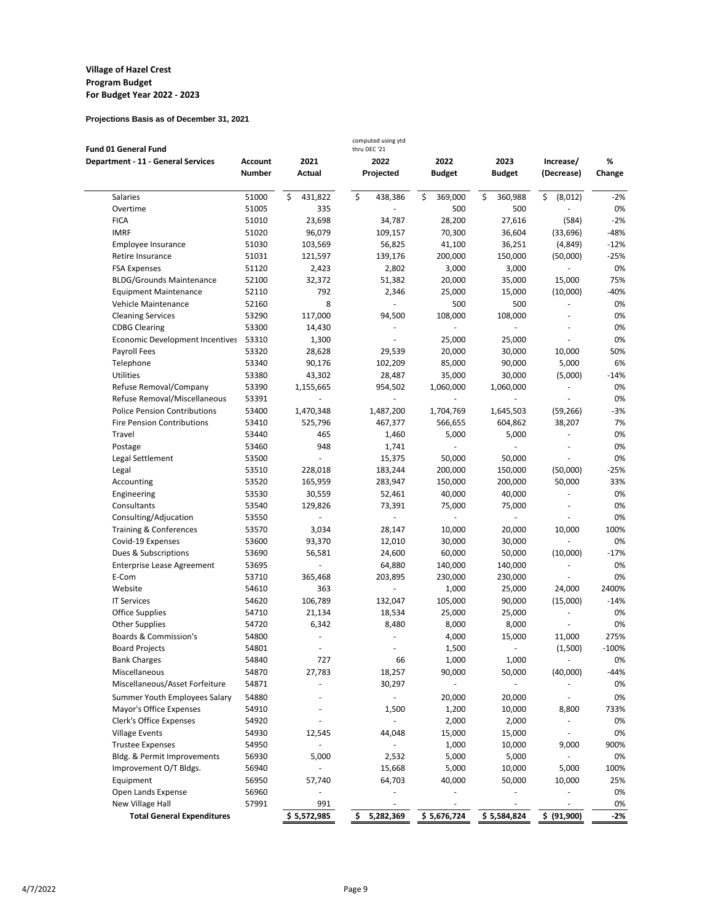| Fund 01 General Fund                      |                |                | computed using ytd<br>thru DEC '21 |                |               |                          |         |
|-------------------------------------------|----------------|----------------|------------------------------------|----------------|---------------|--------------------------|---------|
| <b>Department - 11 - General Services</b> | <b>Account</b> | 2021           | 2022                               | 2022           | 2023          | Increase/                | %       |
|                                           | <b>Number</b>  | Actual         | Projected                          | <b>Budget</b>  | <b>Budget</b> | (Decrease)               | Change  |
| Salaries                                  | 51000          | \$<br>431,822  | \$<br>438,386                      | \$<br>369,000  | \$<br>360,988 | \$<br>(8,012)            | $-2%$   |
| Overtime                                  | 51005          | 335            |                                    | 500            | 500           |                          | 0%      |
| <b>FICA</b>                               | 51010          | 23,698         | 34,787                             | 28,200         | 27,616        | (584)                    | $-2%$   |
| <b>IMRF</b>                               | 51020          | 96,079         | 109,157                            | 70,300         | 36,604        | (33, 696)                | $-48%$  |
| Employee Insurance                        | 51030          | 103,569        | 56,825                             | 41,100         | 36,251        | (4, 849)                 | $-12%$  |
| Retire Insurance                          | 51031          | 121,597        | 139,176                            | 200,000        | 150,000       | (50,000)                 | $-25%$  |
| <b>FSA Expenses</b>                       | 51120          | 2,423          | 2,802                              | 3,000          | 3,000         | ÷,                       | 0%      |
| <b>BLDG/Grounds Maintenance</b>           | 52100          | 32,372         | 51,382                             | 20,000         | 35,000        | 15,000                   | 75%     |
| <b>Equipment Maintenance</b>              | 52110          | 792            | 2,346                              | 25,000         | 15,000        | (10,000)                 | -40%    |
| Vehicle Maintenance                       | 52160          | 8              |                                    | 500            | 500           |                          | 0%      |
| <b>Cleaning Services</b>                  | 53290          | 117,000        | 94,500                             | 108,000        | 108,000       | $\overline{\phantom{a}}$ | 0%      |
| <b>CDBG Clearing</b>                      | 53300          | 14,430         |                                    |                |               |                          | 0%      |
| Economic Development Incentives           | 53310          | 1,300          |                                    | 25,000         | 25,000        |                          | 0%      |
| Payroll Fees                              | 53320          | 28,628         | 29,539                             | 20,000         | 30,000        | 10,000                   | 50%     |
| Telephone                                 | 53340          | 90,176         | 102,209                            | 85,000         | 90,000        | 5,000                    | 6%      |
| Utilities                                 | 53380          | 43,302         | 28,487                             | 35,000         | 30,000        | (5,000)                  | $-14%$  |
| Refuse Removal/Company                    | 53390          | 1,155,665      | 954,502                            | 1,060,000      | 1,060,000     | ä,                       | 0%      |
| Refuse Removal/Miscellaneous              | 53391          | L              |                                    |                |               | ÷,                       | 0%      |
| <b>Police Pension Contributions</b>       | 53400          | 1,470,348      | 1,487,200                          | 1,704,769      | 1,645,503     | (59, 266)                | $-3%$   |
| <b>Fire Pension Contributions</b>         | 53410          | 525,796        | 467,377                            | 566,655        | 604,862       | 38,207                   | 7%      |
| Travel                                    | 53440          | 465            | 1,460                              | 5,000          | 5,000         | $\blacksquare$           | 0%      |
| Postage                                   | 53460          | 948            | 1,741                              |                |               |                          | 0%      |
| Legal Settlement                          | 53500          | ÷,             | 15,375                             | 50,000         | 50,000        |                          | 0%      |
| Legal                                     | 53510          | 228,018        | 183,244                            | 200,000        | 150,000       | (50,000)                 | $-25%$  |
| Accounting                                | 53520          | 165,959        | 283,947                            | 150,000        | 200,000       | 50,000                   | 33%     |
| Engineering                               | 53530          | 30,559         | 52,461                             | 40,000         | 40,000        |                          | 0%      |
| Consultants                               | 53540          | 129,826        | 73,391                             | 75,000         | 75,000        |                          | 0%      |
| Consulting/Adjucation                     | 53550          | ä,             | ä,                                 | $\overline{a}$ |               |                          | 0%      |
| Training & Conferences                    | 53570          | 3,034          | 28,147                             | 10,000         | 20,000        | 10,000                   | 100%    |
| Covid-19 Expenses                         | 53600          | 93,370         | 12,010                             | 30,000         | 30,000        | ÷,                       | 0%      |
| Dues & Subscriptions                      | 53690          | 56,581         | 24,600                             | 60,000         | 50,000        | (10,000)                 | $-17%$  |
| <b>Enterprise Lease Agreement</b>         | 53695          |                | 64,880                             | 140,000        | 140,000       |                          | 0%      |
| E-Com                                     | 53710          | 365,468        | 203,895                            | 230,000        | 230,000       |                          | 0%      |
| Website                                   | 54610          | 363            | ä,                                 | 1,000          | 25,000        | 24,000                   | 2400%   |
| <b>IT Services</b>                        | 54620          | 106,789        | 132,047                            | 105,000        | 90,000        | (15,000)                 | $-14%$  |
| <b>Office Supplies</b>                    | 54710          | 21,134         | 18,534                             | 25,000         | 25,000        | $\overline{\phantom{a}}$ | 0%      |
| <b>Other Supplies</b>                     | 54720          | 6,342          | 8,480                              | 8,000          | 8,000         | ÷,                       | 0%      |
| Boards & Commission's                     | 54800          | $\overline{a}$ |                                    | 4,000          | 15,000        | 11,000                   | 275%    |
| <b>Board Projects</b>                     | 54801          |                |                                    | 1,500          |               | (1,500)                  | $-100%$ |
| <b>Bank Charges</b>                       | 54840          | 727            | 66                                 | 1,000          | 1,000         |                          | 0%      |
| Miscellaneous                             | 54870          | 27,783         | 18,257                             | 90,000         | 50,000        | (40,000)                 | $-44%$  |
| Miscellaneous/Asset Forfeiture            | 54871          |                | 30,297                             | ä,             |               |                          | 0%      |
| Summer Youth Employees Salary             | 54880          |                | $\blacksquare$                     | 20,000         | 20,000        |                          | 0%      |
| Mayor's Office Expenses                   | 54910          |                | 1,500                              | 1,200          | 10,000        | 8,800                    | 733%    |
| Clerk's Office Expenses                   | 54920          |                | $\blacksquare$                     | 2,000          | 2,000         | $\overline{\phantom{m}}$ | 0%      |
| <b>Village Events</b>                     | 54930          | 12,545         | 44,048                             | 15,000         | 15,000        |                          | 0%      |
| <b>Trustee Expenses</b>                   | 54950          |                |                                    | 1,000          | 10,000        | 9,000                    | 900%    |
| Bldg. & Permit Improvements               | 56930          | 5,000          | 2,532                              | 5,000          | 5,000         |                          | 0%      |
| Improvement O/T Bldgs.                    | 56940          |                | 15,668                             | 5,000          | 10,000        | 5,000                    | 100%    |
| Equipment                                 | 56950          | 57,740         | 64,703                             | 40,000         | 50,000        | 10,000                   | 25%     |
| Open Lands Expense                        | 56960          | ä,             |                                    |                |               |                          | 0%      |
| New Village Hall                          | 57991          | 991            |                                    |                |               |                          | 0%      |
| <b>Total General Expenditures</b>         |                | \$5,572,985    | 5,282,369<br>\$.                   | \$5,676,724    | \$5,584,824   | \$ (91,900)              | $-2%$   |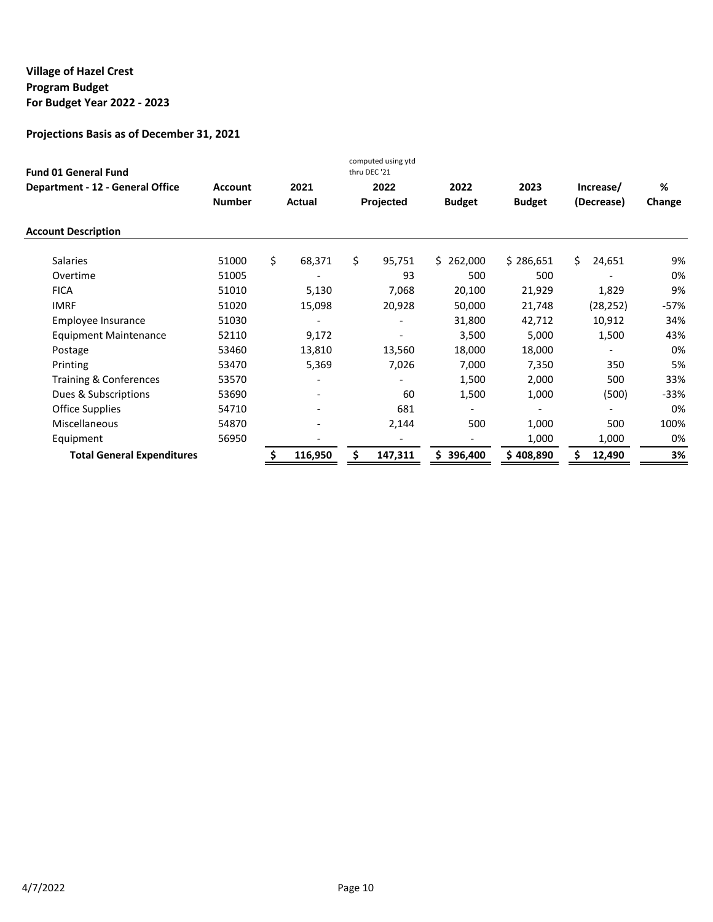| <b>Fund 01 General Fund</b>             |                |                          |      | computed using ytd<br>thru DEC '21 |                          |               |    |            |        |
|-----------------------------------------|----------------|--------------------------|------|------------------------------------|--------------------------|---------------|----|------------|--------|
| <b>Department - 12 - General Office</b> | <b>Account</b> | 2021                     | 2022 |                                    | 2022                     | 2023          |    | Increase/  | %      |
|                                         | <b>Number</b>  | <b>Actual</b>            |      | Projected                          | <b>Budget</b>            | <b>Budget</b> |    | (Decrease) | Change |
| <b>Account Description</b>              |                |                          |      |                                    |                          |               |    |            |        |
| <b>Salaries</b>                         | 51000          | \$<br>68,371             | \$   | 95,751                             | \$262,000                | \$286,651     | Ś. | 24,651     | 9%     |
| Overtime                                | 51005          |                          |      | 93                                 | 500                      | 500           |    |            | 0%     |
| <b>FICA</b>                             | 51010          | 5,130                    |      | 7,068                              | 20,100                   | 21,929        |    | 1,829      | 9%     |
| <b>IMRF</b>                             | 51020          | 15,098                   |      | 20,928                             | 50,000                   | 21,748        |    | (28, 252)  | -57%   |
| Employee Insurance                      | 51030          |                          |      |                                    | 31,800                   | 42,712        |    | 10,912     | 34%    |
| <b>Equipment Maintenance</b>            | 52110          | 9,172                    |      |                                    | 3,500                    | 5,000         |    | 1,500      | 43%    |
| Postage                                 | 53460          | 13,810                   |      | 13,560                             | 18,000                   | 18,000        |    |            | 0%     |
| Printing                                | 53470          | 5,369                    |      | 7,026                              | 7,000                    | 7,350         |    | 350        | 5%     |
| Training & Conferences                  | 53570          |                          |      |                                    | 1,500                    | 2,000         |    | 500        | 33%    |
| Dues & Subscriptions                    | 53690          | $\overline{\phantom{a}}$ |      | 60                                 | 1,500                    | 1,000         |    | (500)      | -33%   |
| Office Supplies                         | 54710          | $\overline{\phantom{0}}$ |      | 681                                |                          |               |    |            | 0%     |
| Miscellaneous                           | 54870          | $\overline{\phantom{0}}$ |      | 2,144                              | 500                      | 1,000         |    | 500        | 100%   |
| Equipment                               | 56950          |                          |      |                                    | $\overline{\phantom{0}}$ | 1,000         |    | 1,000      | 0%     |
| <b>Total General Expenditures</b>       |                | 116,950                  | Ś    | 147,311                            | 396,400<br>Ś.            | \$408,890     | Ś  | 12,490     | 3%     |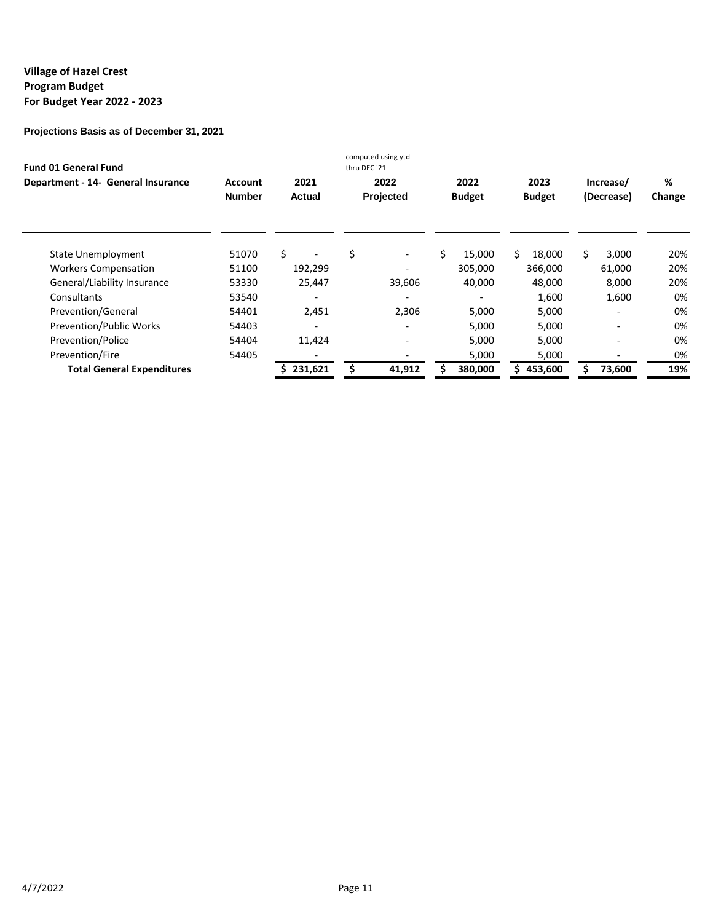| <b>Fund 01 General Fund</b>        |                          |                | computed using ytd<br>thru DEC '21 |                       |                       |                         |             |
|------------------------------------|--------------------------|----------------|------------------------------------|-----------------------|-----------------------|-------------------------|-------------|
| Department - 14- General Insurance | Account<br><b>Number</b> | 2021<br>Actual | 2022<br>Projected                  | 2022<br><b>Budget</b> | 2023<br><b>Budget</b> | Increase/<br>(Decrease) | %<br>Change |
| State Unemployment                 | 51070                    | Ś.             | \$<br>$\overline{\phantom{a}}$     | 15,000                | Ś.<br>18,000          | 3,000                   | 20%         |
| <b>Workers Compensation</b>        | 51100                    | 192,299        |                                    | 305,000               | 366,000               | 61,000                  | 20%         |
| General/Liability Insurance        | 53330                    | 25,447         | 39,606                             | 40,000                | 48,000                | 8,000                   | 20%         |
| Consultants                        | 53540                    |                |                                    |                       | 1,600                 | 1,600                   | 0%          |
| Prevention/General                 | 54401                    | 2,451          | 2,306                              | 5,000                 | 5,000                 |                         | 0%          |
| <b>Prevention/Public Works</b>     | 54403                    | ٠              |                                    | 5.000                 | 5.000                 |                         | 0%          |
| Prevention/Police                  | 54404                    | 11,424         | $\overline{\phantom{a}}$           | 5,000                 | 5,000                 |                         | 0%          |
| Prevention/Fire                    | 54405                    |                |                                    | 5,000                 | 5,000                 |                         | 0%          |
| <b>Total General Expenditures</b>  |                          | 231,621        | 41,912                             | 380,000               | 453,600<br>\$         | 73,600                  | 19%         |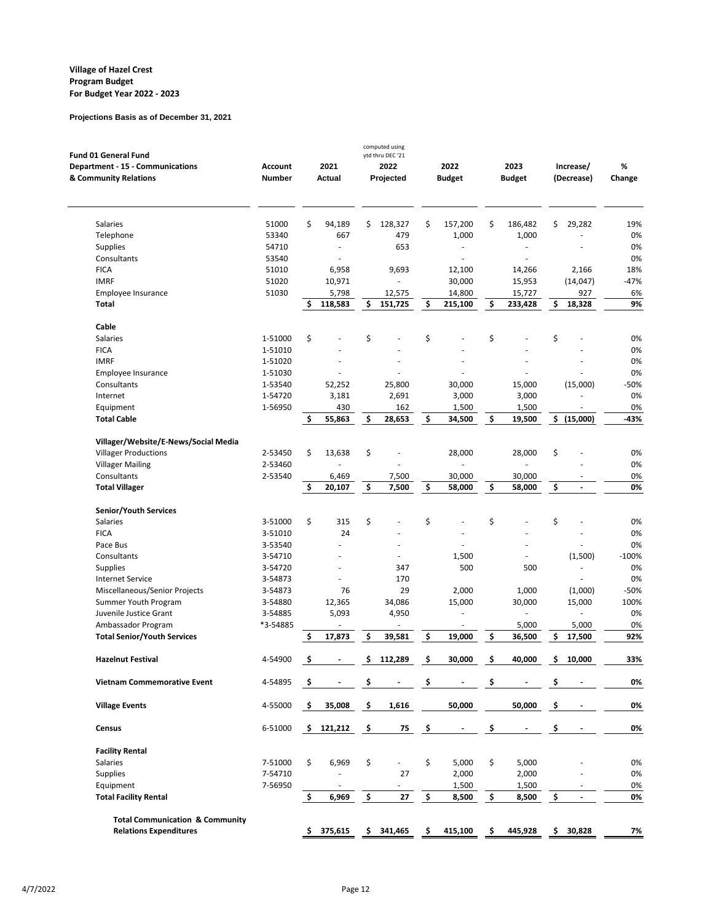| <b>Fund 01 General Fund</b>                |                |     |               |     | computed using<br>ytd thru DEC '21 |                          |     |               |                                |           |
|--------------------------------------------|----------------|-----|---------------|-----|------------------------------------|--------------------------|-----|---------------|--------------------------------|-----------|
| Department - 15 - Communications           | <b>Account</b> |     | 2021          |     | 2022                               | 2022                     |     | 2023          | Increase/                      | %         |
| & Community Relations                      | <b>Number</b>  |     | <b>Actual</b> |     | Projected                          | <b>Budget</b>            |     | <b>Budget</b> | (Decrease)                     | Change    |
|                                            |                |     |               |     |                                    |                          |     |               |                                |           |
| Salaries                                   | 51000<br>53340 | \$  | 94,189<br>667 | \$  | 128,327<br>479                     | \$<br>157,200<br>1,000   | \$  | 186,482       | \$<br>29,282                   | 19%<br>0% |
| Telephone<br>Supplies                      | 54710          |     | ä,            |     | 653                                | ä,                       |     | 1,000<br>ä,   |                                | 0%        |
| Consultants                                | 53540          |     |               |     |                                    |                          |     |               |                                | 0%        |
| <b>FICA</b>                                | 51010          |     | 6,958         |     | 9,693                              | 12,100                   |     | 14,266        | 2,166                          | 18%       |
| <b>IMRF</b>                                | 51020          |     | 10,971        |     |                                    | 30,000                   |     | 15,953        | (14, 047)                      | $-47%$    |
| Employee Insurance                         | 51030          |     | 5,798         |     | 12,575                             | 14,800                   |     | 15,727        | 927                            | 6%        |
| <b>Total</b>                               |                | \$  | 118,583       | \$  | 151,725                            | \$<br>215,100            | \$  | 233,428       | \$<br>18,328                   | 9%        |
| Cable                                      |                |     |               |     |                                    |                          |     |               |                                |           |
| Salaries                                   | 1-51000        | \$  |               | \$  |                                    | \$                       | \$  |               | \$                             | 0%        |
| <b>FICA</b>                                | 1-51010        |     |               |     |                                    |                          |     |               |                                | 0%        |
| <b>IMRF</b>                                | 1-51020        |     |               |     |                                    |                          |     |               |                                | 0%        |
| Employee Insurance                         | 1-51030        |     |               |     |                                    |                          |     |               |                                | 0%        |
| Consultants                                | 1-53540        |     | 52,252        |     | 25,800                             | 30,000                   |     | 15,000        | (15,000)                       | -50%      |
| Internet                                   | 1-54720        |     | 3,181         |     | 2,691                              | 3,000                    |     | 3,000         |                                | 0%        |
| Equipment                                  | 1-56950        |     | 430           |     | 162                                | 1,500                    |     | 1,500         |                                | 0%        |
| <b>Total Cable</b>                         |                | \$  | 55,863        | \$  | 28,653                             | \$<br>34,500             | \$  | 19,500        | $\frac{1}{5}$ (15,000)         | -43%      |
| Villager/Website/E-News/Social Media       |                |     |               |     |                                    |                          |     |               |                                |           |
| <b>Villager Productions</b>                | 2-53450        | \$  | 13,638        | \$  |                                    | 28,000                   |     | 28,000        | \$                             | 0%        |
| <b>Villager Mailing</b>                    | 2-53460        |     |               |     |                                    | ä,                       |     | ٠             |                                | 0%        |
| Consultants                                | 2-53540        |     | 6,469         |     | 7,500                              | 30,000                   |     | 30,000        |                                | 0%        |
| <b>Total Villager</b>                      |                | \$  | 20,107        | \$  | 7,500                              | \$<br>58,000             | \$  | 58,000        | \$<br>$\overline{\phantom{a}}$ | 0%        |
| Senior/Youth Services                      |                |     |               |     |                                    |                          |     |               |                                |           |
| Salaries                                   | 3-51000        | \$  | 315           | \$  |                                    | \$                       | \$  |               | \$                             | 0%        |
| <b>FICA</b>                                | 3-51010        |     | 24            |     |                                    |                          |     |               |                                | 0%        |
| Pace Bus                                   | 3-53540        |     |               |     |                                    |                          |     |               |                                | 0%        |
| Consultants                                | 3-54710        |     |               |     |                                    | 1,500                    |     |               | (1,500)                        | $-100%$   |
| <b>Supplies</b>                            | 3-54720        |     |               |     | 347                                | 500                      |     | 500           |                                | 0%        |
| <b>Internet Service</b>                    | 3-54873        |     |               |     | 170                                |                          |     |               |                                | 0%        |
| Miscellaneous/Senior Projects              | 3-54873        |     | 76            |     | 29                                 | 2,000                    |     | 1,000         | (1,000)                        | -50%      |
| Summer Youth Program                       | 3-54880        |     | 12,365        |     | 34,086                             | 15,000                   |     | 30,000        | 15,000                         | 100%      |
| Juvenile Justice Grant                     | 3-54885        |     | 5,093         |     | 4,950                              | $\overline{\phantom{a}}$ |     |               |                                | 0%        |
| Ambassador Program                         | *3-54885       |     |               |     |                                    | $\sim$                   |     | 5,000         | 5,000                          | 0%        |
| <b>Total Senior/Youth Services</b>         |                | \$  | 17,873        | \$  | 39,581                             | \$<br>19,000             | \$  | 36,500        | \$<br>17,500                   | 92%       |
| <b>Hazelnut Festival</b>                   | 4-54900        | \$  |               | \$  | 112,289                            | \$<br>30,000             | \$  | 40,000        | \$<br>10,000                   | 33%       |
| <b>Vietnam Commemorative Event</b>         | 4-54895        | Ş.  |               | \$. |                                    | \$                       | \$. |               | \$                             | 0%        |
| <b>Village Events</b>                      | 4-55000        | \$. | 35,008        | \$  | 1,616                              | 50,000                   |     | 50,000        | \$                             | 0%        |
|                                            |                |     |               |     |                                    |                          |     |               |                                |           |
| Census                                     | 6-51000        |     | \$121,212     | \$  | 75                                 | \$                       | \$  |               | \$                             | 0%        |
| <b>Facility Rental</b>                     |                |     |               |     |                                    |                          |     |               |                                |           |
| <b>Salaries</b>                            | 7-51000        | \$  | 6,969         | \$  |                                    | \$<br>5,000              | \$  | 5,000         |                                | 0%        |
| <b>Supplies</b>                            | 7-54710        |     |               |     | 27                                 | 2,000                    |     | 2,000         |                                | 0%        |
| Equipment                                  | 7-56950        |     |               |     |                                    | 1,500                    |     | 1,500         |                                | 0%        |
| <b>Total Facility Rental</b>               |                | \$  | 6,969         | \$  | 27                                 | \$<br>8,500              | \$  | 8,500         | \$                             | 0%        |
| <b>Total Communication &amp; Community</b> |                |     |               |     |                                    |                          |     |               |                                |           |
| <b>Relations Expenditures</b>              |                | \$  | 375,615       | \$  | 341,465                            | \$<br>415,100            | \$  | 445,928       | \$<br>30,828                   | 7%        |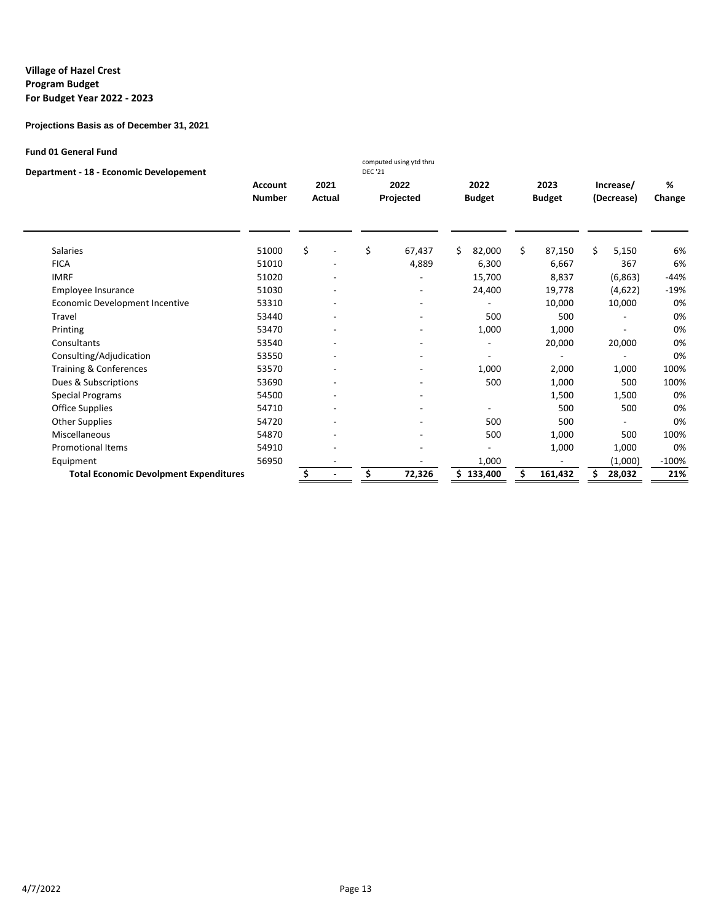**Projections Basis as of December 31, 2021**

#### **Fund 01 General Fund**

| Department - 18 - Economic Developement |
|-----------------------------------------|
|-----------------------------------------|

| <b>Account</b><br><b>Number</b> |                                                                                            | 2021          |           |                          |    |                                                                                                             |                                              |                                                    |
|---------------------------------|--------------------------------------------------------------------------------------------|---------------|-----------|--------------------------|----|-------------------------------------------------------------------------------------------------------------|----------------------------------------------|----------------------------------------------------|
|                                 |                                                                                            | <b>Actual</b> | 2022      | 2022                     |    | 2023                                                                                                        | Increase/                                    | %                                                  |
|                                 |                                                                                            |               | Projected | <b>Budget</b>            |    | <b>Budget</b>                                                                                               | (Decrease)                                   | Change                                             |
|                                 |                                                                                            |               |           |                          |    |                                                                                                             |                                              | 6%                                                 |
|                                 |                                                                                            |               |           |                          |    |                                                                                                             |                                              | 6%                                                 |
|                                 |                                                                                            |               |           |                          |    |                                                                                                             |                                              | $-44%$                                             |
|                                 |                                                                                            |               |           |                          |    |                                                                                                             |                                              |                                                    |
|                                 |                                                                                            |               |           |                          |    |                                                                                                             |                                              | $-19%$                                             |
|                                 |                                                                                            |               |           |                          |    |                                                                                                             |                                              | 0%                                                 |
| 53440                           |                                                                                            |               |           |                          |    | 500                                                                                                         |                                              | 0%                                                 |
| 53470                           |                                                                                            |               |           |                          |    | 1,000                                                                                                       |                                              | 0%                                                 |
| 53540                           |                                                                                            |               |           | $\overline{\phantom{0}}$ |    | 20,000                                                                                                      | 20,000                                       | 0%                                                 |
| 53550                           |                                                                                            |               |           |                          |    |                                                                                                             |                                              | 0%                                                 |
| 53570                           |                                                                                            |               |           |                          |    | 2,000                                                                                                       | 1,000                                        | 100%                                               |
| 53690                           |                                                                                            |               |           |                          |    | 1,000                                                                                                       | 500                                          | 100%                                               |
| 54500                           |                                                                                            |               |           |                          |    | 1,500                                                                                                       | 1,500                                        | 0%                                                 |
| 54710                           |                                                                                            |               |           |                          |    | 500                                                                                                         | 500                                          | 0%                                                 |
| 54720                           |                                                                                            |               |           |                          |    | 500                                                                                                         |                                              | 0%                                                 |
| 54870                           |                                                                                            |               |           |                          |    | 1,000                                                                                                       | 500                                          | 100%                                               |
| 54910                           |                                                                                            |               |           |                          |    | 1,000                                                                                                       | 1,000                                        | 0%                                                 |
| 56950                           |                                                                                            |               |           |                          |    |                                                                                                             | (1,000)                                      | $-100%$                                            |
|                                 |                                                                                            |               | 72,326    | S.                       | \$ | 161,432                                                                                                     | 28,032                                       | 21%                                                |
|                                 | 51000<br>51010<br>51020<br>51030<br>53310<br><b>Total Economic Devolpment Expenditures</b> | \$            | \$        | 67,437<br>4,889          | Ś. | Ś.<br>82,000<br>6,300<br>15,700<br>24,400<br>500<br>1,000<br>1,000<br>500<br>500<br>500<br>1,000<br>133,400 | 87,150<br>6,667<br>8,837<br>19,778<br>10,000 | Ś.<br>5,150<br>367<br>(6,863)<br>(4,622)<br>10,000 |

computed using ytd thru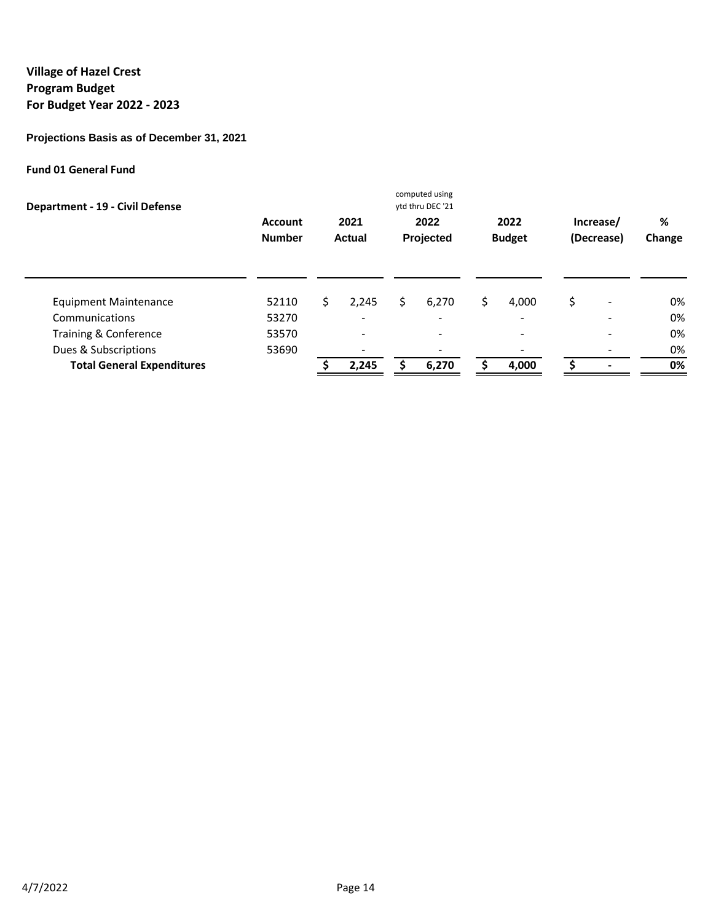# **Projections Basis as of December 31, 2021**

## **Fund 01 General Fund**

| Department - 19 - Civil Defense   |                                 |     |                              |     | computed using<br>ytd thru DEC '21 |     |                          |                          |             |
|-----------------------------------|---------------------------------|-----|------------------------------|-----|------------------------------------|-----|--------------------------|--------------------------|-------------|
|                                   | <b>Account</b><br><b>Number</b> |     | 2021<br>Actual               |     | 2022<br>Projected                  |     | 2022<br><b>Budget</b>    | Increase/<br>(Decrease)  | %<br>Change |
| <b>Equipment Maintenance</b>      | 52110                           | \$. | 2,245                        | \$. | 6,270                              | \$. | 4,000                    | \$<br>-                  | 0%          |
| Communications                    | 53270                           |     | $\overline{\phantom{0}}$     |     |                                    |     | -                        | $\overline{\phantom{0}}$ | 0%          |
| Training & Conference             | 53570                           |     | $\blacksquare$               |     | ۰.                                 |     | $\overline{\phantom{a}}$ | $\overline{\phantom{a}}$ | 0%          |
| Dues & Subscriptions              | 53690                           |     | $\qquad \qquad \blacksquare$ |     |                                    |     |                          |                          | 0%          |
| <b>Total General Expenditures</b> |                                 |     | 2,245                        |     | 6,270                              |     | 4,000                    |                          | 0%          |
|                                   |                                 |     |                              |     |                                    |     |                          |                          |             |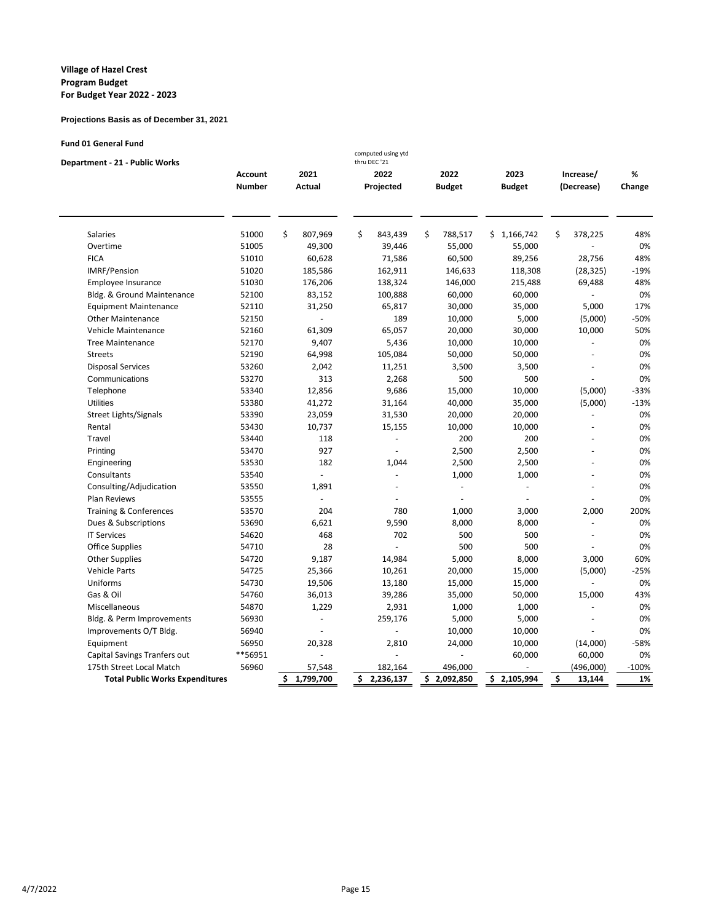#### **Projections Basis as of December 31, 2021**

| <b>Fund 01 General Fund</b>       |                |                | computed using ytd |               |               |                |        |
|-----------------------------------|----------------|----------------|--------------------|---------------|---------------|----------------|--------|
| Department - 21 - Public Works    |                |                | thru DEC '21       |               |               |                |        |
|                                   | <b>Account</b> | 2021           | 2022               | 2022          | 2023          | Increase/      | %      |
|                                   | <b>Number</b>  | Actual         | Projected          | <b>Budget</b> | <b>Budget</b> | (Decrease)     | Change |
|                                   |                |                |                    |               |               |                |        |
| <b>Salaries</b>                   | 51000          | \$<br>807,969  | \$<br>843,439      | \$<br>788,517 | \$1,166,742   | \$<br>378,225  | 48%    |
| Overtime                          | 51005          | 49,300         | 39,446             | 55,000        | 55,000        |                | 0%     |
| <b>FICA</b>                       | 51010          | 60,628         | 71,586             | 60,500        | 89,256        | 28,756         | 48%    |
| <b>IMRF/Pension</b>               | 51020          | 185,586        | 162,911            | 146,633       | 118,308       | (28, 325)      | $-19%$ |
| Employee Insurance                | 51030          | 176,206        | 138,324            | 146,000       | 215,488       | 69,488         | 48%    |
| Bldg. & Ground Maintenance        | 52100          | 83,152         | 100,888            | 60,000        | 60,000        |                | 0%     |
| <b>Equipment Maintenance</b>      | 52110          | 31,250         | 65,817             | 30,000        | 35,000        | 5,000          | 17%    |
| <b>Other Maintenance</b>          | 52150          | $\Box$         | 189                | 10,000        | 5,000         | (5,000)        | $-50%$ |
| <b>Vehicle Maintenance</b>        | 52160          | 61,309         | 65,057             | 20,000        | 30,000        | 10,000         | 50%    |
| <b>Tree Maintenance</b>           | 52170          | 9,407          | 5,436              | 10,000        | 10,000        | ä,             | 0%     |
| <b>Streets</b>                    | 52190          | 64,998         | 105,084            | 50,000        | 50,000        | ÷.             | 0%     |
| <b>Disposal Services</b>          | 53260          | 2,042          | 11,251             | 3,500         | 3,500         |                | 0%     |
| Communications                    | 53270          | 313            | 2,268              | 500           | 500           |                | 0%     |
| Telephone                         | 53340          | 12,856         | 9,686              | 15,000        | 10,000        | (5,000)        | $-33%$ |
| <b>Utilities</b>                  | 53380          | 41,272         | 31,164             | 40,000        | 35,000        | (5,000)        | $-13%$ |
| Street Lights/Signals             | 53390          | 23,059         | 31,530             | 20,000        | 20,000        |                | 0%     |
| Rental                            | 53430          | 10,737         | 15,155             | 10,000        | 10,000        | ä,             | 0%     |
| Travel                            | 53440          | 118            | ÷.                 | 200           | 200           |                | 0%     |
| Printing                          | 53470          | 927            | $\bar{a}$          | 2,500         | 2,500         | ä,             | 0%     |
| Engineering                       | 53530          | 182            | 1,044              | 2,500         | 2,500         | $\overline{a}$ | 0%     |
| Consultants                       | 53540          | $\overline{a}$ | L.                 | 1,000         | 1,000         |                | 0%     |
| Consulting/Adjudication           | 53550          | 1,891          | ÷.                 | ä,            |               |                | 0%     |
| Plan Reviews                      | 53555          | L.             |                    |               |               |                | 0%     |
| <b>Training &amp; Conferences</b> | 53570          | 204            | 780                | 1,000         | 3,000         | 2,000          | 200%   |
| Dues & Subscriptions              | 53690          | 6,621          | 9,590              | 8,000         | 8,000         |                | 0%     |
| <b>IT Services</b>                | 54620          | 468            | 702                | 500           | 500           |                | 0%     |
| Office Supplies                   | 54710          | 28             | ÷,                 | 500           | 500           |                | 0%     |
| <b>Other Supplies</b>             | 54720          | 9,187          | 14,984             | 5,000         | 8,000         | 3,000          | 60%    |
| <b>Vehicle Parts</b>              | 54725          | 25,366         | 10,261             | 20,000        | 15,000        | (5,000)        | $-25%$ |
| Uniforms                          | 54730          | 19,506         | 13,180             | 15,000        | 15,000        |                | 0%     |
| Gas & Oil                         | 54760          | 36,013         | 39,286             | 35,000        | 50,000        | 15,000         | 43%    |
| Miscellaneous                     | 54870          | 1,229          | 2,931              | 1,000         | 1,000         | ÷              | 0%     |

Bldg. & Perm Improvements 56930 - 259,176 5,000 5,000 - 0%<br>
Improvements O/T Bldg. 56940 - 259,176 10,000 10,000 - 0%

Equipment 56950 20,328 2,810 24,000 10,000 (14,000) -58% Capital Savings Tranfers out  $***$ 56951 - - - - - - - - - - - - - - - - 60,000 60,000 0% 175th Street Local Match 56960 57,548 182,164 496,000 - (496,000) - 100% 161 Public Works Expenditures 56960 5 1,799,700 5 2,236,137 5 2,092,850 5 2,105,994 5 13,144 1% **Total Public Works Expenditures \$ 1,799,700 \$ 2,236,137 \$ 2,092,850 \$ 2,105,994 \$ 13,144 1%**

Improvements O/T Bldg. 56940 - - 10,000 10,000 - 0%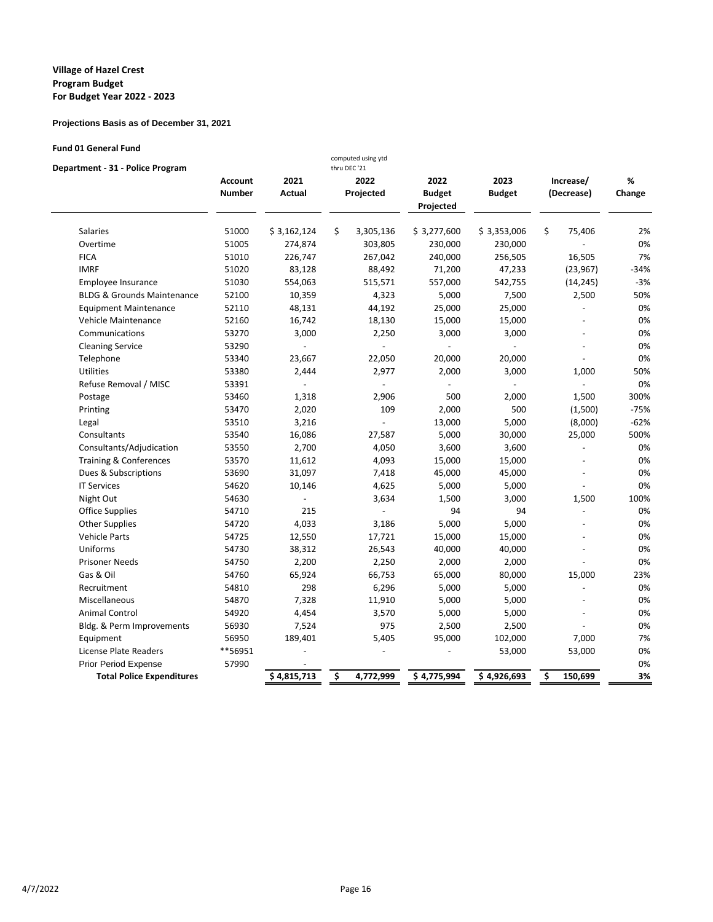## **Projections Basis as of December 31, 2021**

### **Fund 01 General Fund**

| Department - 31 - Police Program      |                                 |                       | computed using ytd<br>thru DEC '21 |                                    |                       |                         |                |             |
|---------------------------------------|---------------------------------|-----------------------|------------------------------------|------------------------------------|-----------------------|-------------------------|----------------|-------------|
|                                       | <b>Account</b><br><b>Number</b> | 2021<br><b>Actual</b> | 2022<br>Projected                  | 2022<br><b>Budget</b><br>Projected | 2023<br><b>Budget</b> | Increase/<br>(Decrease) |                | %<br>Change |
| <b>Salaries</b>                       | 51000                           | \$3,162,124           | \$<br>3,305,136                    | \$3,277,600                        | \$3,353,006           | \$                      | 75,406         | 2%          |
| Overtime                              | 51005                           | 274,874               | 303,805                            | 230,000                            | 230,000               |                         |                | 0%          |
| <b>FICA</b>                           | 51010                           | 226,747               | 267,042                            | 240,000                            | 256,505               |                         | 16,505         | 7%          |
| <b>IMRF</b>                           | 51020                           | 83,128                | 88,492                             | 71,200                             | 47,233                |                         | (23, 967)      | $-34%$      |
| Employee Insurance                    | 51030                           | 554,063               | 515,571                            | 557,000                            | 542,755               |                         | (14, 245)      | $-3%$       |
| <b>BLDG &amp; Grounds Maintenance</b> | 52100                           | 10,359                | 4,323                              | 5,000                              | 7,500                 |                         | 2,500          | 50%         |
| <b>Equipment Maintenance</b>          | 52110                           | 48,131                | 44,192                             | 25,000                             | 25,000                |                         |                | 0%          |
| Vehicle Maintenance                   | 52160                           | 16,742                | 18,130                             | 15,000                             | 15,000                |                         |                | 0%          |
| Communications                        | 53270                           | 3,000                 | 2,250                              | 3,000                              | 3,000                 |                         |                | 0%          |
| <b>Cleaning Service</b>               | 53290                           | $\frac{1}{2}$         | $\overline{a}$                     | $\overline{\phantom{a}}$           | $\overline{a}$        |                         |                | 0%          |
| Telephone                             | 53340                           | 23,667                | 22,050                             | 20,000                             | 20,000                |                         |                | 0%          |
| <b>Utilities</b>                      | 53380                           | 2,444                 | 2,977                              | 2,000                              | 3,000                 |                         | 1,000          | 50%         |
| Refuse Removal / MISC                 | 53391                           |                       |                                    |                                    |                       |                         |                | 0%          |
| Postage                               | 53460                           | 1,318                 | 2,906                              | 500                                | 2,000                 |                         | 1,500          | 300%        |
| Printing                              | 53470                           | 2,020                 | 109                                | 2,000                              | 500                   |                         | (1,500)        | $-75%$      |
| Legal                                 | 53510                           | 3,216                 |                                    | 13,000                             | 5,000                 |                         | (8,000)        | $-62%$      |
| Consultants                           | 53540                           | 16,086                | 27,587                             | 5,000                              | 30,000                |                         | 25,000         | 500%        |
| Consultants/Adjudication              | 53550                           | 2,700                 | 4,050                              | 3,600                              | 3,600                 |                         |                | 0%          |
| <b>Training &amp; Conferences</b>     | 53570                           | 11,612                | 4,093                              | 15,000                             | 15,000                |                         |                | 0%          |
| Dues & Subscriptions                  | 53690                           | 31,097                | 7,418                              | 45,000                             | 45,000                |                         |                | 0%          |
| <b>IT Services</b>                    | 54620                           | 10,146                | 4,625                              | 5,000                              | 5,000                 |                         |                | 0%          |
| Night Out                             | 54630                           |                       | 3,634                              | 1,500                              | 3,000                 |                         | 1,500          | 100%        |
| <b>Office Supplies</b>                | 54710                           | 215                   | $\overline{a}$                     | 94                                 | 94                    |                         | $\overline{a}$ | 0%          |
| <b>Other Supplies</b>                 | 54720                           | 4,033                 | 3,186                              | 5,000                              | 5,000                 |                         |                | 0%          |
| <b>Vehicle Parts</b>                  | 54725                           | 12,550                | 17,721                             | 15,000                             | 15,000                |                         |                | 0%          |
| Uniforms                              | 54730                           | 38,312                | 26,543                             | 40,000                             | 40,000                |                         |                | 0%          |
| <b>Prisoner Needs</b>                 | 54750                           | 2,200                 | 2,250                              | 2,000                              | 2,000                 |                         |                | 0%          |
| Gas & Oil                             | 54760                           | 65,924                | 66,753                             | 65,000                             | 80,000                |                         | 15,000         | 23%         |
| Recruitment                           | 54810                           | 298                   | 6,296                              | 5,000                              | 5,000                 |                         | $\overline{a}$ | 0%          |
| Miscellaneous                         | 54870                           | 7,328                 | 11,910                             | 5,000                              | 5,000                 |                         |                | 0%          |
| <b>Animal Control</b>                 | 54920                           | 4,454                 | 3,570                              | 5,000                              | 5,000                 |                         |                | 0%          |
| Bldg. & Perm Improvements             | 56930                           | 7,524                 | 975                                | 2,500                              | 2,500                 |                         |                | 0%          |
| Equipment                             | 56950                           | 189,401               | 5,405                              | 95,000                             | 102,000               |                         | 7,000          | 7%          |
| License Plate Readers                 | **56951                         |                       |                                    |                                    | 53,000                |                         | 53,000         | 0%          |
| Prior Period Expense                  | 57990                           |                       |                                    |                                    |                       |                         |                | 0%          |
| <b>Total Police Expenditures</b>      |                                 | \$4,815,713           | \$<br>4,772,999                    | \$4,775,994                        | \$4,926,693           | \$                      | 150,699        | 3%          |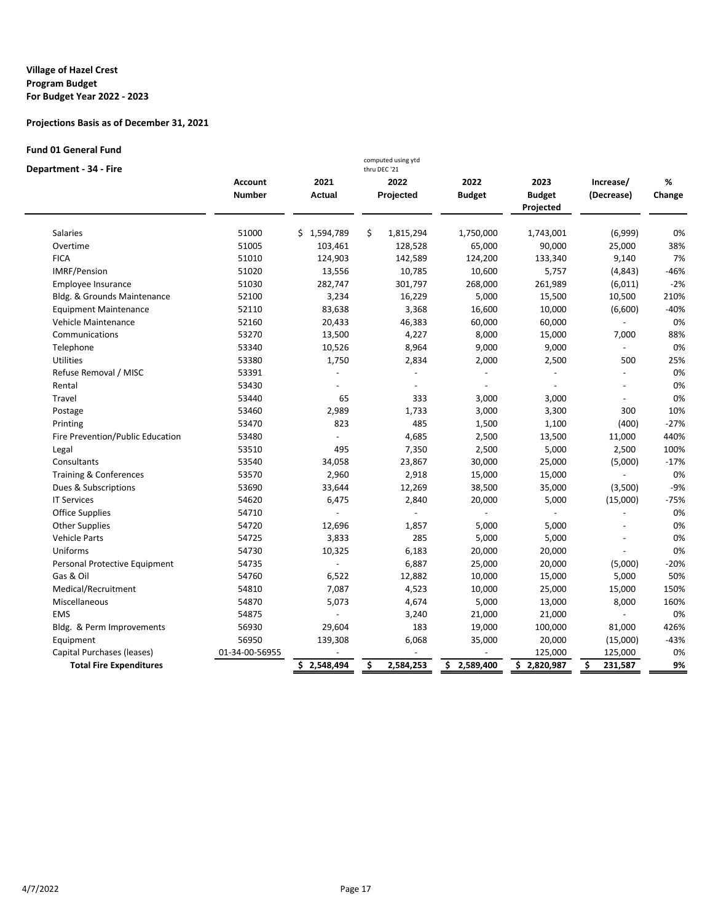## **Projections Basis as of December 31, 2021**

### **Fund 01 General Fund**

### **Department - 34 - Fire**

| Department - 34 - Fire           |                                 |                       | thru DEC '21      |                       |                                    |                          |             |
|----------------------------------|---------------------------------|-----------------------|-------------------|-----------------------|------------------------------------|--------------------------|-------------|
|                                  | <b>Account</b><br><b>Number</b> | 2021<br><b>Actual</b> | 2022<br>Projected | 2022<br><b>Budget</b> | 2023<br><b>Budget</b><br>Projected | Increase/<br>(Decrease)  | %<br>Change |
| <b>Salaries</b>                  | 51000                           | \$1,594,789           | \$<br>1,815,294   | 1,750,000             | 1,743,001                          | (6,999)                  | 0%          |
| Overtime                         | 51005                           | 103,461               | 128,528           | 65,000                | 90,000                             | 25,000                   | 38%         |
| <b>FICA</b>                      | 51010                           | 124,903               | 142,589           | 124,200               | 133,340                            | 9,140                    | 7%          |
| IMRF/Pension                     | 51020                           | 13,556                | 10,785            | 10,600                | 5,757                              | (4, 843)                 | $-46%$      |
| Employee Insurance               | 51030                           | 282,747               | 301,797           | 268,000               | 261,989                            | (6,011)                  | $-2%$       |
| Bldg. & Grounds Maintenance      | 52100                           | 3,234                 | 16,229            | 5,000                 | 15,500                             | 10,500                   | 210%        |
| <b>Equipment Maintenance</b>     | 52110                           | 83,638                | 3,368             | 16,600                | 10,000                             | (6,600)                  | $-40%$      |
| Vehicle Maintenance              | 52160                           | 20,433                | 46,383            | 60,000                | 60,000                             |                          | 0%          |
| Communications                   | 53270                           | 13,500                | 4,227             | 8,000                 | 15,000                             | 7,000                    | 88%         |
| Telephone                        | 53340                           | 10,526                | 8,964             | 9,000                 | 9,000                              | $\overline{\phantom{a}}$ | 0%          |
| Utilities                        | 53380                           | 1,750                 | 2,834             | 2,000                 | 2,500                              | 500                      | 25%         |
| Refuse Removal / MISC            | 53391                           |                       |                   |                       |                                    |                          | 0%          |
| Rental                           | 53430                           |                       |                   |                       |                                    |                          | 0%          |
| Travel                           | 53440                           | 65                    | 333               | 3,000                 | 3,000                              |                          | 0%          |
| Postage                          | 53460                           | 2,989                 | 1,733             | 3,000                 | 3,300                              | 300                      | 10%         |
| Printing                         | 53470                           | 823                   | 485               | 1,500                 | 1,100                              | (400)                    | $-27%$      |
| Fire Prevention/Public Education | 53480                           |                       | 4,685             | 2,500                 | 13,500                             | 11,000                   | 440%        |
| Legal                            | 53510                           | 495                   | 7,350             | 2,500                 | 5,000                              | 2,500                    | 100%        |
| Consultants                      | 53540                           | 34,058                | 23,867            | 30,000                | 25,000                             | (5,000)                  | $-17%$      |
| Training & Conferences           | 53570                           | 2,960                 | 2,918             | 15,000                | 15,000                             |                          | 0%          |
| Dues & Subscriptions             | 53690                           | 33,644                | 12,269            | 38,500                | 35,000                             | (3,500)                  | $-9%$       |
| <b>IT Services</b>               | 54620                           | 6,475                 | 2,840             | 20,000                | 5,000                              | (15,000)                 | $-75%$      |
| <b>Office Supplies</b>           | 54710                           |                       |                   |                       |                                    |                          | 0%          |
| <b>Other Supplies</b>            | 54720                           | 12,696                | 1,857             | 5,000                 | 5,000                              |                          | 0%          |
| <b>Vehicle Parts</b>             | 54725                           | 3,833                 | 285               | 5,000                 | 5,000                              |                          | 0%          |
| Uniforms                         | 54730                           | 10,325                | 6,183             | 20,000                | 20,000                             |                          | 0%          |
| Personal Protective Equipment    | 54735                           |                       | 6,887             | 25,000                | 20,000                             | (5,000)                  | $-20%$      |
| Gas & Oil                        | 54760                           | 6,522                 | 12,882            | 10,000                | 15,000                             | 5,000                    | 50%         |
| Medical/Recruitment              | 54810                           | 7,087                 | 4,523             | 10,000                | 25,000                             | 15,000                   | 150%        |
| Miscellaneous                    | 54870                           | 5,073                 | 4,674             | 5,000                 | 13,000                             | 8,000                    | 160%        |
| <b>EMS</b>                       | 54875                           |                       | 3,240             | 21,000                | 21,000                             |                          | 0%          |
| Bldg. & Perm Improvements        | 56930                           | 29,604                | 183               | 19,000                | 100,000                            | 81,000                   | 426%        |
| Equipment                        | 56950                           | 139,308               | 6,068             | 35,000                | 20,000                             | (15,000)                 | $-43%$      |
| Capital Purchases (leases)       | 01-34-00-56955                  |                       |                   |                       | 125,000                            | 125,000                  | 0%          |
| <b>Total Fire Expenditures</b>   |                                 | \$2,548,494           | \$<br>2,584,253   | 2,589,400<br>\$.      | \$2,820,987                        | \$<br>231,587            | 9%          |

computed using ytd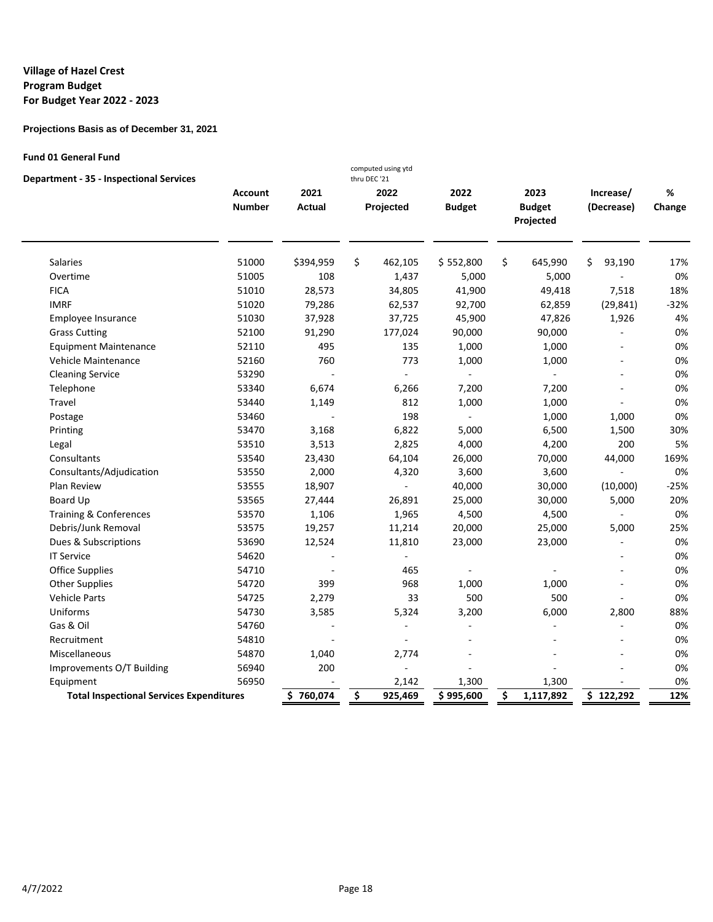## **Projections Basis as of December 31, 2021**

### **Fund 01 General Fund**

| <b>Department - 35 - Inspectional Services</b>  |                |                | computed using ytd<br>thru DEC '21 |               |                            |                |        |
|-------------------------------------------------|----------------|----------------|------------------------------------|---------------|----------------------------|----------------|--------|
|                                                 | <b>Account</b> | 2021           | 2022                               | 2022          | 2023                       | Increase/      | %      |
|                                                 | <b>Number</b>  | <b>Actual</b>  | Projected                          | <b>Budget</b> | <b>Budget</b><br>Projected | (Decrease)     | Change |
| <b>Salaries</b>                                 | 51000          | \$394,959      | \$<br>462,105                      | \$552,800     | \$<br>645,990              | \$<br>93,190   | 17%    |
| Overtime                                        | 51005          | 108            | 1,437                              | 5,000         | 5,000                      |                | 0%     |
| <b>FICA</b>                                     | 51010          | 28,573         | 34,805                             | 41,900        | 49,418                     | 7,518          | 18%    |
| <b>IMRF</b>                                     | 51020          | 79,286         | 62,537                             | 92,700        | 62,859                     | (29, 841)      | $-32%$ |
| Employee Insurance                              | 51030          | 37,928         | 37,725                             | 45,900        | 47,826                     | 1,926          | 4%     |
| <b>Grass Cutting</b>                            | 52100          | 91,290         | 177,024                            | 90,000        | 90,000                     |                | 0%     |
| <b>Equipment Maintenance</b>                    | 52110          | 495            | 135                                | 1,000         | 1,000                      |                | 0%     |
| Vehicle Maintenance                             | 52160          | 760            | 773                                | 1,000         | 1,000                      | $\overline{a}$ | 0%     |
| <b>Cleaning Service</b>                         | 53290          |                | $\sim$                             |               | ÷.                         | ٠              | 0%     |
| Telephone                                       | 53340          | 6,674          | 6,266                              | 7,200         | 7,200                      |                | 0%     |
| Travel                                          | 53440          | 1,149          | 812                                | 1,000         | 1,000                      |                | 0%     |
| Postage                                         | 53460          |                | 198                                | $\omega$      | 1,000                      | 1,000          | 0%     |
| Printing                                        | 53470          | 3,168          | 6,822                              | 5,000         | 6,500                      | 1,500          | 30%    |
| Legal                                           | 53510          | 3,513          | 2,825                              | 4,000         | 4,200                      | 200            | 5%     |
| Consultants                                     | 53540          | 23,430         | 64,104                             | 26,000        | 70,000                     | 44,000         | 169%   |
| Consultants/Adjudication                        | 53550          | 2,000          | 4,320                              | 3,600         | 3,600                      | L.             | 0%     |
| Plan Review                                     | 53555          | 18,907         | $\overline{a}$                     | 40,000        | 30,000                     | (10,000)       | $-25%$ |
| Board Up                                        | 53565          | 27,444         | 26,891                             | 25,000        | 30,000                     | 5,000          | 20%    |
| <b>Training &amp; Conferences</b>               | 53570          | 1,106          | 1,965                              | 4,500         | 4,500                      | $\blacksquare$ | 0%     |
| Debris/Junk Removal                             | 53575          | 19,257         | 11,214                             | 20,000        | 25,000                     | 5,000          | 25%    |
| Dues & Subscriptions                            | 53690          | 12,524         | 11,810                             | 23,000        | 23,000                     |                | 0%     |
| <b>IT Service</b>                               | 54620          |                | $\bar{\phantom{a}}$                |               |                            |                | 0%     |
| <b>Office Supplies</b>                          | 54710          | $\overline{a}$ | 465                                |               |                            | $\overline{a}$ | 0%     |
| <b>Other Supplies</b>                           | 54720          | 399            | 968                                | 1,000         | 1,000                      | $\overline{a}$ | 0%     |
| Vehicle Parts                                   | 54725          | 2,279          | 33                                 | 500           | 500                        | ä,             | 0%     |
| Uniforms                                        | 54730          | 3,585          | 5,324                              | 3,200         | 6,000                      | 2,800          | 88%    |
| Gas & Oil                                       | 54760          |                | $\overline{a}$                     |               |                            |                | 0%     |
| Recruitment                                     | 54810          |                | $\sim$                             |               |                            |                | 0%     |
| Miscellaneous                                   | 54870          | 1,040          | 2,774                              |               |                            |                | 0%     |
| Improvements O/T Building                       | 56940          | 200            | ÷,                                 |               |                            |                | 0%     |
| Equipment                                       | 56950          |                | 2,142                              | 1,300         | 1,300                      |                | 0%     |
| <b>Total Inspectional Services Expenditures</b> |                | \$760,074      | \$<br>925,469                      | \$995,600     | \$<br>1,117,892            | \$122,292      | 12%    |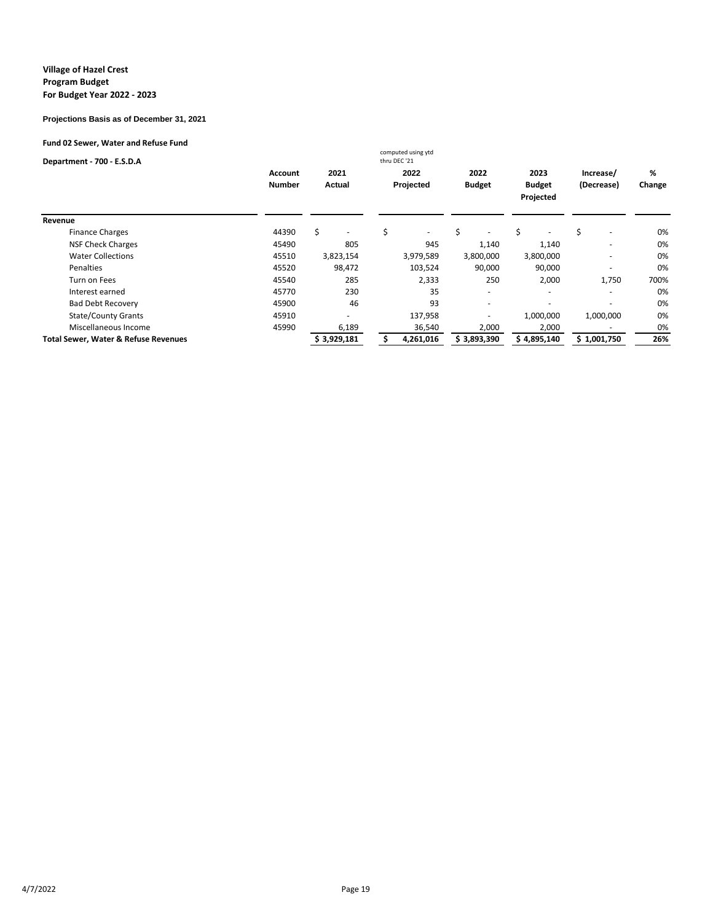#### **Projections Basis as of December 31, 2021**

### **Fund 02 Sewer, Water and Refuse Fund**

| Department - 700 - E.S.D.A                      |               |             | computed using ytd<br>thru DEC '21 |                          |                            |                                |        |
|-------------------------------------------------|---------------|-------------|------------------------------------|--------------------------|----------------------------|--------------------------------|--------|
|                                                 | Account       | 2021        | 2022                               | 2022                     | 2023                       | Increase/                      | %      |
|                                                 | <b>Number</b> | Actual      | Projected                          | <b>Budget</b>            | <b>Budget</b><br>Projected | (Decrease)                     | Change |
|                                                 |               |             |                                    |                          |                            |                                |        |
| Revenue                                         |               |             |                                    |                          |                            |                                |        |
| <b>Finance Charges</b>                          | 44390         | Ŝ.          | Ś<br>$\overline{\phantom{a}}$      | \$                       | \$                         | \$<br>$\overline{\phantom{a}}$ | 0%     |
| <b>NSF Check Charges</b>                        | 45490         | 805         | 945                                | 1,140                    | 1,140                      | $\overline{\phantom{a}}$       | 0%     |
| <b>Water Collections</b>                        | 45510         | 3,823,154   | 3,979,589                          | 3,800,000                | 3,800,000                  |                                | 0%     |
| Penalties                                       | 45520         | 98,472      | 103,524                            | 90,000                   | 90,000                     |                                | 0%     |
| Turn on Fees                                    | 45540         | 285         | 2,333                              | 250                      | 2,000                      | 1,750                          | 700%   |
| Interest earned                                 | 45770         | 230         | 35                                 | $\overline{\phantom{a}}$ |                            |                                | 0%     |
| <b>Bad Debt Recovery</b>                        | 45900         | 46          | 93                                 | $\overline{\phantom{0}}$ |                            |                                | 0%     |
| <b>State/County Grants</b>                      | 45910         |             | 137,958                            |                          | 1,000,000                  | 1,000,000                      | 0%     |
| Miscellaneous Income                            | 45990         | 6,189       | 36,540                             | 2,000                    | 2,000                      |                                | 0%     |
| <b>Total Sewer, Water &amp; Refuse Revenues</b> |               | \$3,929,181 | 4,261,016                          | \$3,893,390              | \$4,895,140                | \$1,001,750                    | 26%    |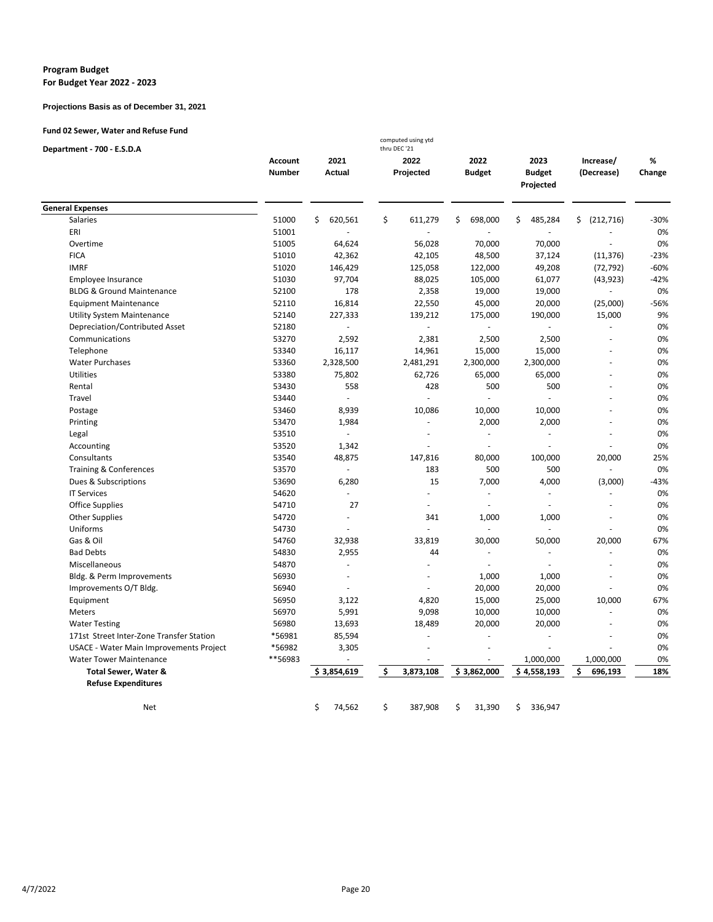#### **Program Budget For Budget Year 2022 - 2023**

#### **Projections Basis as of December 31, 2021**

### **Fund 02 Sewer, Water and Refuse Fund**

| Department - 700 - E.S.D.A               |                |               | computed using ytd<br>thru DEC '21 |                |                            |                  |        |
|------------------------------------------|----------------|---------------|------------------------------------|----------------|----------------------------|------------------|--------|
|                                          | <b>Account</b> | 2021          | 2022                               | 2022           | 2023                       | Increase/        | %      |
|                                          | <b>Number</b>  | <b>Actual</b> | Projected                          | <b>Budget</b>  | <b>Budget</b><br>Projected | (Decrease)       | Change |
|                                          |                |               |                                    |                |                            |                  |        |
| <b>General Expenses</b>                  |                |               |                                    |                |                            |                  |        |
| Salaries                                 | 51000          | \$<br>620,561 | \$<br>611,279                      | \$<br>698,000  | \$<br>485,284              | \$<br>(212, 716) | -30%   |
| ERI                                      | 51001          |               |                                    |                |                            |                  | 0%     |
| Overtime                                 | 51005          | 64,624        | 56,028                             | 70,000         | 70,000                     |                  | 0%     |
| <b>FICA</b>                              | 51010          | 42,362        | 42,105                             | 48,500         | 37,124                     | (11, 376)        | $-23%$ |
| <b>IMRF</b>                              | 51020          | 146,429       | 125,058                            | 122,000        | 49,208                     | (72, 792)        | -60%   |
| Employee Insurance                       | 51030          | 97,704        | 88,025                             | 105,000        | 61,077                     | (43, 923)        | $-42%$ |
| <b>BLDG &amp; Ground Maintenance</b>     | 52100          | 178           | 2,358                              | 19,000         | 19,000                     |                  | 0%     |
| <b>Equipment Maintenance</b>             | 52110          | 16,814        | 22,550                             | 45,000         | 20,000                     | (25,000)         | -56%   |
| Utility System Maintenance               | 52140          | 227,333       | 139,212                            | 175,000        | 190,000                    | 15,000           | 9%     |
| Depreciation/Contributed Asset           | 52180          |               | $\omega$                           | $\blacksquare$ | ä,                         | ä,               | 0%     |
| Communications                           | 53270          | 2,592         | 2,381                              | 2,500          | 2,500                      |                  | 0%     |
| Telephone                                | 53340          | 16,117        | 14,961                             | 15,000         | 15,000                     |                  | 0%     |
| <b>Water Purchases</b>                   | 53360          | 2,328,500     | 2,481,291                          | 2,300,000      | 2,300,000                  |                  | 0%     |
| <b>Utilities</b>                         | 53380          | 75,802        | 62,726                             | 65,000         | 65,000                     |                  | 0%     |
| Rental                                   | 53430          | 558           | 428                                | 500            | 500                        | L.               | 0%     |
| Travel                                   | 53440          |               |                                    | ä,             | ä,                         |                  | 0%     |
| Postage                                  | 53460          | 8,939         | 10,086                             | 10,000         | 10,000                     |                  | 0%     |
| Printing                                 | 53470          | 1,984         |                                    | 2,000          | 2,000                      |                  | 0%     |
| Legal                                    | 53510          |               | $\overline{a}$                     | ÷,             | $\overline{\phantom{a}}$   | $\overline{a}$   | 0%     |
| Accounting                               | 53520          | 1,342         |                                    |                |                            |                  | 0%     |
| Consultants                              | 53540          | 48,875        | 147,816                            | 80,000         | 100,000                    | 20,000           | 25%    |
| Training & Conferences                   | 53570          |               | 183                                | 500            | 500                        | $\overline{a}$   | 0%     |
| Dues & Subscriptions                     | 53690          | 6,280         | 15                                 | 7,000          | 4,000                      | (3,000)          | $-43%$ |
| <b>IT Services</b>                       | 54620          |               | $\overline{a}$                     | ä,             | ٠                          | $\overline{a}$   | 0%     |
| <b>Office Supplies</b>                   | 54710          | 27            |                                    |                |                            |                  | 0%     |
| <b>Other Supplies</b>                    | 54720          |               | 341                                | 1,000          | 1,000                      | ä,               | 0%     |
| Uniforms                                 | 54730          |               | ÷.                                 | ÷,             | ä,                         |                  | 0%     |
| Gas & Oil                                | 54760          | 32,938        | 33,819                             | 30,000         | 50,000                     | 20,000           | 67%    |
| <b>Bad Debts</b>                         | 54830          | 2,955         | 44                                 | ÷,             | ٠                          |                  | 0%     |
| Miscellaneous                            | 54870          | ÷.            | ÷.                                 | ÷.             |                            |                  | 0%     |
| Bldg. & Perm Improvements                | 56930          |               |                                    | 1,000          | 1,000                      |                  | 0%     |
| Improvements O/T Bldg.                   | 56940          | ä,            | ÷.                                 | 20,000         | 20,000                     |                  | 0%     |
| Equipment                                | 56950          | 3,122         | 4,820                              | 15,000         | 25,000                     | 10,000           | 67%    |
| Meters                                   | 56970          | 5,991         | 9,098                              | 10,000         | 10,000                     |                  | 0%     |
| <b>Water Testing</b>                     | 56980          | 13,693        | 18,489                             | 20,000         | 20,000                     | $\overline{a}$   | 0%     |
| 171st Street Inter-Zone Transfer Station | *56981         | 85,594        |                                    |                | ÷,                         |                  | 0%     |
| USACE - Water Main Improvements Project  | *56982         | 3,305         |                                    | ÷,             |                            |                  | 0%     |
| <b>Water Tower Maintenance</b>           | **56983        |               |                                    |                | 1,000,000                  | 1,000,000        | 0%     |
| Total Sewer, Water &                     |                | \$3,854,619   | \$<br>3,873,108                    | \$3,862,000    | \$4,558,193                | \$<br>696,193    | 18%    |
| <b>Refuse Expenditures</b>               |                |               |                                    |                |                            |                  |        |
| Net                                      |                | \$<br>74,562  | \$<br>387,908                      | Ś<br>31,390    | Ś.<br>336,947              |                  |        |
|                                          |                |               |                                    |                |                            |                  |        |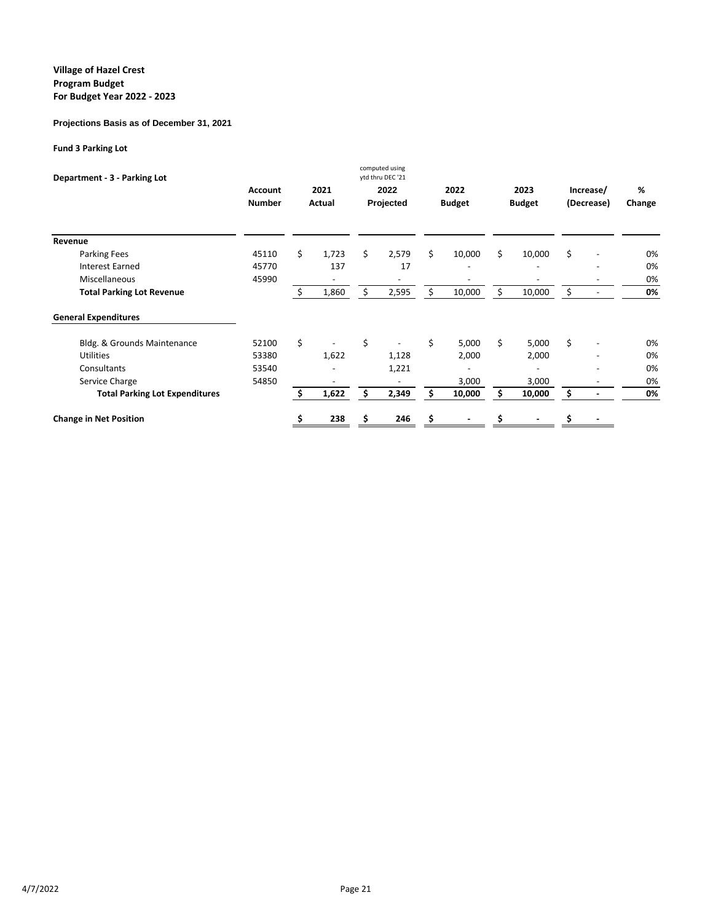### **Projections Basis as of December 31, 2021**

### **Fund 3 Parking Lot**

| Department - 3 - Parking Lot          |                |    |        |    | computed using<br>ytd thru DEC '21 |               |    |               |                                |        |
|---------------------------------------|----------------|----|--------|----|------------------------------------|---------------|----|---------------|--------------------------------|--------|
|                                       | <b>Account</b> |    | 2021   |    | 2022                               | 2022          |    | 2023          | Increase/                      | %      |
|                                       | <b>Number</b>  |    | Actual |    | Projected                          | <b>Budget</b> |    | <b>Budget</b> | (Decrease)                     | Change |
| Revenue                               |                |    |        |    |                                    |               |    |               |                                |        |
| Parking Fees                          | 45110          | \$ | 1,723  | \$ | 2,579                              | \$<br>10,000  | \$ | 10,000        | \$                             | 0%     |
| <b>Interest Earned</b>                | 45770          |    | 137    |    | 17                                 |               |    |               |                                | 0%     |
| Miscellaneous                         | 45990          |    |        |    |                                    |               |    |               |                                | 0%     |
| <b>Total Parking Lot Revenue</b>      |                | Ś. | 1,860  | \$ | 2,595                              | \$<br>10,000  | Ś. | 10,000        | \$<br>$\overline{\phantom{a}}$ | 0%     |
| <b>General Expenditures</b>           |                |    |        |    |                                    |               |    |               |                                |        |
| Bldg. & Grounds Maintenance           | 52100          | \$ |        | \$ |                                    | \$<br>5,000   | Ś. | 5,000         | \$                             | 0%     |
| <b>Utilities</b>                      | 53380          |    | 1,622  |    | 1,128                              | 2,000         |    | 2,000         |                                | 0%     |
| Consultants                           | 53540          |    |        |    | 1,221                              |               |    |               |                                | 0%     |
| Service Charge                        | 54850          |    |        |    |                                    | 3,000         |    | 3,000         |                                | 0%     |
| <b>Total Parking Lot Expenditures</b> |                |    | 1,622  | \$ | 2,349                              | \$<br>10,000  |    | 10,000        | \$                             | 0%     |
| <b>Change in Net Position</b>         |                |    | 238    | S  | 246                                |               |    |               |                                |        |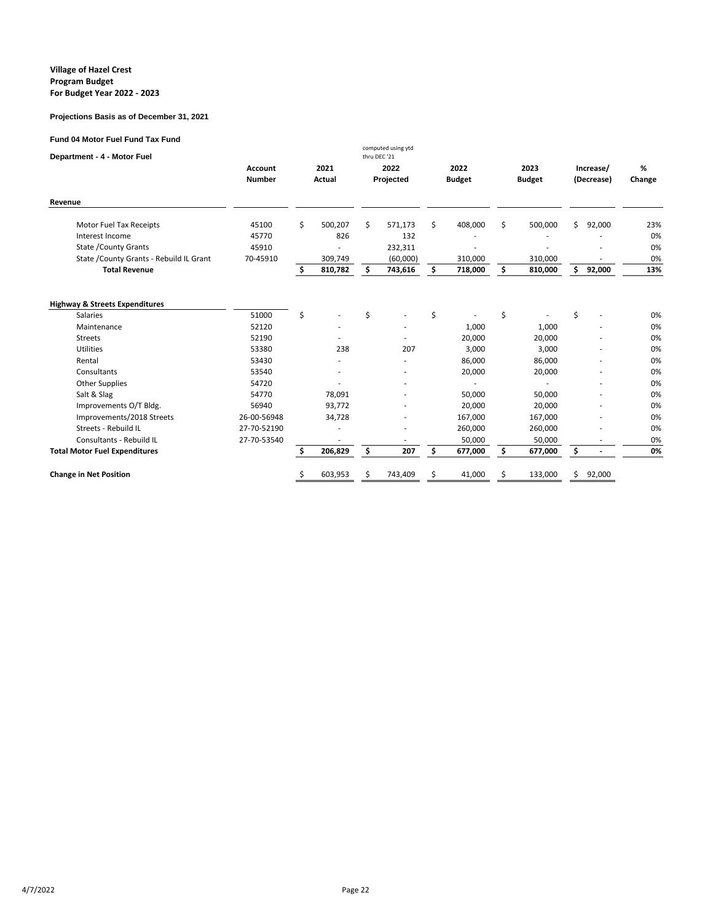#### **Projections Basis as of December 31, 2021**

#### **Fund 04 Motor Fuel Fund Tax Fund**

| o + motor + uch + und + ux + und<br>Department - 4 - Motor Fuel |                          |    |                |    | computed using ytd<br>thru DEC '21 |    |                       |    |                       |                         |        |             |
|-----------------------------------------------------------------|--------------------------|----|----------------|----|------------------------------------|----|-----------------------|----|-----------------------|-------------------------|--------|-------------|
|                                                                 | Account<br><b>Number</b> |    | 2021<br>Actual |    | 2022<br>Projected                  |    | 2022<br><b>Budget</b> |    | 2023<br><b>Budget</b> | Increase/<br>(Decrease) |        | %<br>Change |
| Revenue                                                         |                          |    |                |    |                                    |    |                       |    |                       |                         |        |             |
| Motor Fuel Tax Receipts                                         | 45100                    | \$ | 500,207        | Ś. | 571,173                            | \$ | 408,000               | Ś  | 500,000               | \$.                     | 92,000 | 23%         |
| Interest Income                                                 | 45770                    |    | 826            |    | 132                                |    |                       |    |                       |                         |        | 0%          |
| <b>State / County Grants</b>                                    | 45910                    |    |                |    | 232,311                            |    |                       |    |                       |                         |        | 0%          |
| State / County Grants - Rebuild IL Grant                        | 70-45910                 |    | 309,749        |    | (60,000)                           |    | 310,000               |    | 310,000               |                         |        | 0%          |
| <b>Total Revenue</b>                                            |                          | Ś. | 810,782        | s  | 743,616                            | \$ | 718,000               | \$ | 810,000               | \$                      | 92,000 | 13%         |
| <b>Highway &amp; Streets Expenditures</b>                       |                          |    |                |    |                                    |    |                       |    |                       |                         |        |             |
| <b>Salaries</b>                                                 | 51000                    | Ś. |                | Ś  |                                    | Ś  |                       | Ś  |                       | \$                      |        | 0%          |
| Maintenance                                                     | 52120                    |    |                |    |                                    |    | 1,000                 |    | 1,000                 |                         |        | 0%          |
| <b>Streets</b>                                                  | 52190                    |    |                |    |                                    |    | 20,000                |    | 20,000                |                         |        | 0%          |
| <b>Utilities</b>                                                | 53380                    |    | 238            |    | 207                                |    | 3,000                 |    | 3,000                 |                         |        | 0%          |
| Rental                                                          | 53430                    |    |                |    |                                    |    | 86,000                |    | 86,000                |                         |        | 0%          |
| Consultants                                                     | 53540                    |    |                |    |                                    |    | 20,000                |    | 20,000                |                         |        | 0%          |
| <b>Other Supplies</b>                                           | 54720                    |    |                |    |                                    |    |                       |    |                       |                         |        | 0%          |
| Salt & Slag                                                     | 54770                    |    | 78,091         |    |                                    |    | 50,000                |    | 50,000                |                         |        | 0%          |
| Improvements O/T Bldg.                                          | 56940                    |    | 93,772         |    |                                    |    | 20,000                |    | 20,000                |                         |        | 0%          |
| Improvements/2018 Streets                                       | 26-00-56948              |    | 34,728         |    |                                    |    | 167,000               |    | 167,000               |                         |        | 0%          |
| Streets - Rebuild IL                                            | 27-70-52190              |    |                |    |                                    |    | 260,000               |    | 260,000               |                         |        | 0%          |
| Consultants - Rebuild IL                                        | 27-70-53540              |    |                |    |                                    |    | 50,000                |    | 50.000                |                         |        | 0%          |
| <b>Total Motor Fuel Expenditures</b>                            |                          | \$ | 206,829        | \$ | 207                                | \$ | 677,000               | \$ | 677,000               | \$                      |        | 0%          |
| <b>Change in Net Position</b>                                   |                          | Ş  | 603,953        |    | 743,409                            |    | 41,000                |    | 133,000               | Ś                       | 92,000 |             |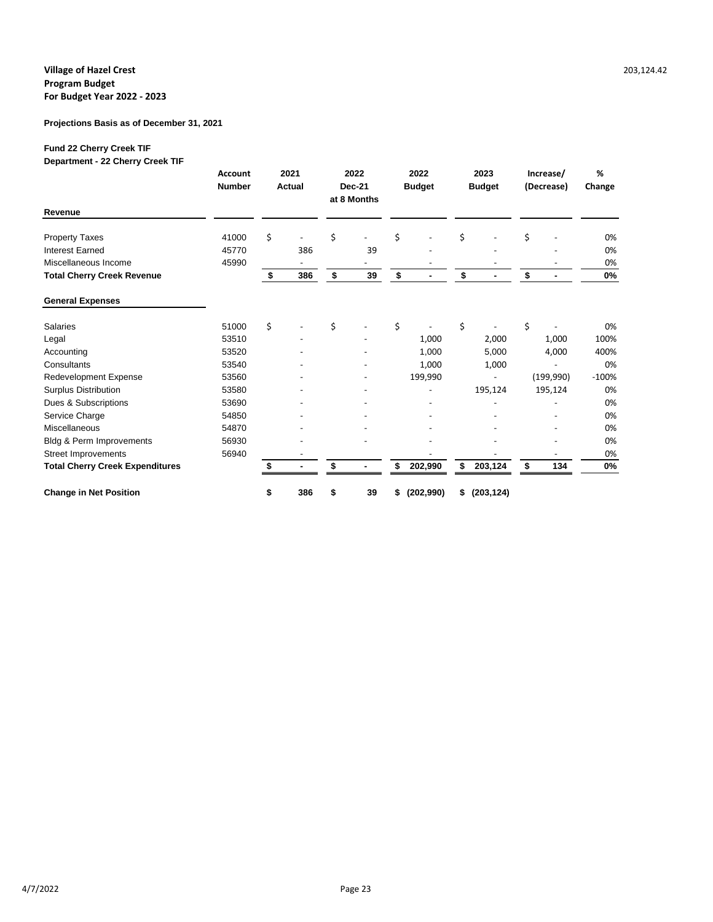### **Projections Basis as of December 31, 2021**

## **Fund 22 Cherry Creek TIF**

**Department - 22 Cherry Creek TIF**

|                                        | <b>Account</b><br><b>Number</b> | 2021<br>Actual |                          | 2022<br>Dec-21<br>at 8 Months |    | 2022<br><b>Budget</b> |            | 2023<br><b>Budget</b> |            | Increase/<br>(Decrease) |            | %<br>Change |
|----------------------------------------|---------------------------------|----------------|--------------------------|-------------------------------|----|-----------------------|------------|-----------------------|------------|-------------------------|------------|-------------|
| Revenue                                |                                 |                |                          |                               |    |                       |            |                       |            |                         |            |             |
| <b>Property Taxes</b>                  | 41000                           | \$             | $\overline{\phantom{a}}$ | \$                            |    | \$                    |            | \$                    |            | \$                      |            | 0%          |
| <b>Interest Earned</b>                 | 45770                           |                | 386                      |                               | 39 |                       |            |                       |            |                         |            | 0%          |
| Miscellaneous Income                   | 45990                           |                |                          |                               |    |                       |            |                       |            |                         |            | 0%          |
| <b>Total Cherry Creek Revenue</b>      |                                 | \$             | 386                      | \$                            | 39 | \$                    |            | \$                    |            | \$                      |            | $0\%$       |
| <b>General Expenses</b>                |                                 |                |                          |                               |    |                       |            |                       |            |                         |            |             |
| Salaries                               | 51000                           | \$             |                          | \$                            |    | \$                    |            | \$                    |            | \$                      |            | 0%          |
| Legal                                  | 53510                           |                |                          |                               |    |                       | 1,000      |                       | 2,000      |                         | 1,000      | 100%        |
| Accounting                             | 53520                           |                |                          |                               |    |                       | 1,000      |                       | 5,000      |                         | 4,000      | 400%        |
| Consultants                            | 53540                           |                |                          |                               |    |                       | 1,000      |                       | 1,000      |                         |            | 0%          |
| <b>Redevelopment Expense</b>           | 53560                           |                |                          |                               |    |                       | 199,990    |                       |            |                         | (199, 990) | $-100%$     |
| <b>Surplus Distribution</b>            | 53580                           |                |                          |                               |    |                       |            |                       | 195,124    |                         | 195,124    | 0%          |
| Dues & Subscriptions                   | 53690                           |                |                          |                               |    |                       |            |                       |            |                         |            | 0%          |
| Service Charge                         | 54850                           |                |                          |                               |    |                       |            |                       |            |                         |            | 0%          |
| <b>Miscellaneous</b>                   | 54870                           |                |                          |                               |    |                       |            |                       |            |                         |            | 0%          |
| Bldg & Perm Improvements               | 56930                           |                |                          |                               |    |                       |            |                       |            |                         |            | 0%          |
| <b>Street Improvements</b>             | 56940                           |                |                          |                               |    |                       |            |                       |            |                         |            | 0%          |
| <b>Total Cherry Creek Expenditures</b> |                                 |                |                          |                               |    | \$                    | 202,990    | \$                    | 203,124    | \$                      | 134        | 0%          |
| <b>Change in Net Position</b>          |                                 | \$             | 386                      | \$                            | 39 | \$                    | (202, 990) | \$                    | (203, 124) |                         |            |             |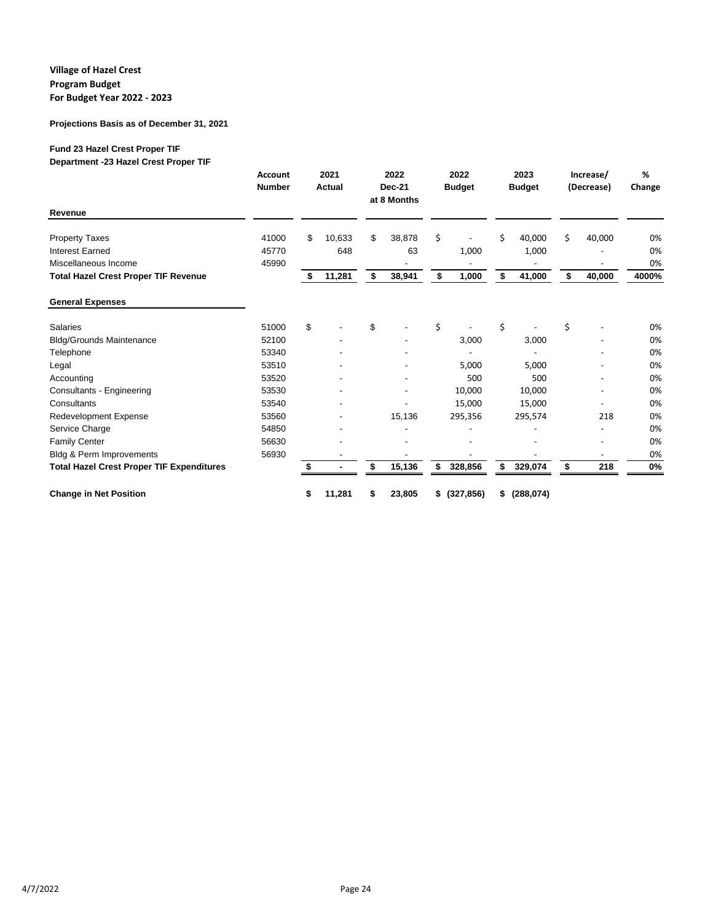### **Projections Basis as of December 31, 2021**

## **Fund 23 Hazel Crest Proper TIF**

**Department -23 Hazel Crest Proper TIF**

|                                                  | <b>Account</b><br><b>Number</b> | 2021<br><b>Actual</b> | 2022<br><b>Dec-21</b><br>at 8 Months | 2022<br><b>Budget</b> | 2023<br><b>Budget</b> |    | Increase/<br>(Decrease)  | %<br>Change |
|--------------------------------------------------|---------------------------------|-----------------------|--------------------------------------|-----------------------|-----------------------|----|--------------------------|-------------|
| Revenue                                          |                                 |                       |                                      |                       |                       |    |                          |             |
| <b>Property Taxes</b>                            | 41000                           | \$<br>10,633          | \$<br>38,878                         | \$                    | \$<br>40,000          | Ś. | 40,000                   | 0%          |
| <b>Interest Earned</b>                           | 45770                           | 648                   | 63                                   | 1,000                 | 1,000                 |    |                          | 0%          |
| Miscellaneous Income                             | 45990                           |                       |                                      |                       |                       |    |                          | 0%          |
| <b>Total Hazel Crest Proper TIF Revenue</b>      |                                 | \$<br>11,281          | \$<br>38,941                         | \$<br>1,000           | \$<br>41,000          | \$ | 40,000                   | 4000%       |
| <b>General Expenses</b>                          |                                 |                       |                                      |                       |                       |    |                          |             |
| Salaries                                         | 51000                           | \$                    | \$                                   | \$                    | \$                    | \$ |                          | 0%          |
| <b>Bldg/Grounds Maintenance</b>                  | 52100                           |                       |                                      | 3,000                 | 3,000                 |    |                          | 0%          |
| Telephone                                        | 53340                           |                       |                                      |                       |                       |    |                          | 0%          |
| Legal                                            | 53510                           |                       |                                      | 5,000                 | 5,000                 |    |                          | 0%          |
| Accounting                                       | 53520                           |                       |                                      | 500                   | 500                   |    |                          | 0%          |
| Consultants - Engineering                        | 53530                           |                       |                                      | 10,000                | 10,000                |    |                          | 0%          |
| Consultants                                      | 53540                           |                       |                                      | 15,000                | 15,000                |    |                          | 0%          |
| Redevelopment Expense                            | 53560                           |                       | 15,136                               | 295,356               | 295,574               |    | 218                      | 0%          |
| Service Charge                                   | 54850                           |                       |                                      |                       |                       |    |                          | 0%          |
| <b>Family Center</b>                             | 56630                           |                       |                                      |                       |                       |    |                          | 0%          |
| <b>Bldg &amp; Perm Improvements</b>              | 56930                           |                       |                                      |                       |                       |    | $\overline{\phantom{a}}$ | 0%          |
| <b>Total Hazel Crest Proper TIF Expenditures</b> |                                 | \$                    | \$<br>15,136                         | \$<br>328,856         | \$<br>329,074         | \$ | 218                      | 0%          |
| <b>Change in Net Position</b>                    |                                 | \$<br>11,281          | \$<br>23,805                         | \$<br>(327, 856)      | \$<br>(288, 074)      |    |                          |             |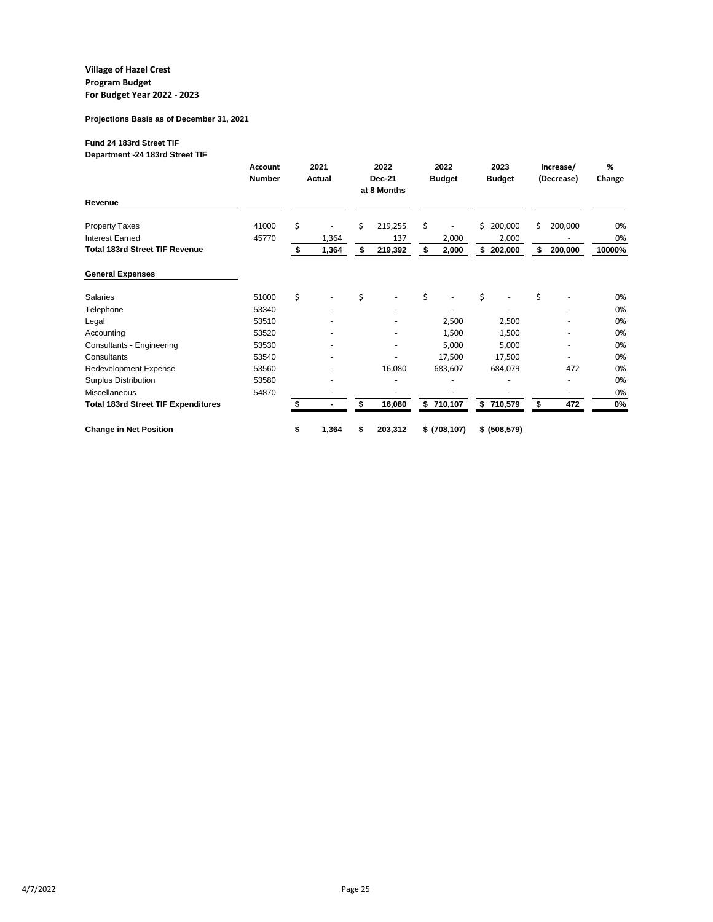#### **Projections Basis as of December 31, 2021**

## **Fund 24 183rd Street TIF**

**Department -24 183rd Street TIF**

|                                            | <b>Account</b><br><b>Number</b> | 2021<br><b>Actual</b> |       | 2022<br><b>Dec-21</b><br>at 8 Months |         | 2022<br><b>Budget</b> |               | 2023<br><b>Budget</b> |               | Increase/<br>(Decrease) |         | %<br>Change |
|--------------------------------------------|---------------------------------|-----------------------|-------|--------------------------------------|---------|-----------------------|---------------|-----------------------|---------------|-------------------------|---------|-------------|
| Revenue                                    |                                 |                       |       |                                      |         |                       |               |                       |               |                         |         |             |
| <b>Property Taxes</b>                      | 41000                           | \$                    |       | \$                                   | 219,255 | \$                    |               | \$                    | 200,000       | Ś                       | 200,000 | 0%          |
| <b>Interest Earned</b>                     | 45770                           |                       | 1,364 |                                      | 137     |                       | 2,000         |                       | 2,000         |                         |         | 0%          |
| <b>Total 183rd Street TIF Revenue</b>      |                                 | \$                    | 1,364 | \$                                   | 219,392 | \$                    | 2,000         |                       | \$202,000     | \$                      | 200,000 | 10000%      |
| <b>General Expenses</b>                    |                                 |                       |       |                                      |         |                       |               |                       |               |                         |         |             |
| Salaries                                   | 51000                           | \$                    |       | \$                                   |         | \$                    |               | \$                    |               | \$                      |         | 0%          |
| Telephone                                  | 53340                           |                       |       |                                      |         |                       |               |                       |               |                         |         | 0%          |
| Legal                                      | 53510                           |                       |       |                                      |         |                       | 2,500         |                       | 2,500         |                         |         | 0%          |
| Accounting                                 | 53520                           |                       |       |                                      |         |                       | 1,500         |                       | 1,500         |                         |         | 0%          |
| Consultants - Engineering                  | 53530                           |                       |       |                                      |         |                       | 5,000         |                       | 5,000         |                         | ٠       | 0%          |
| Consultants                                | 53540                           |                       |       |                                      |         |                       | 17,500        |                       | 17,500        |                         |         | 0%          |
| Redevelopment Expense                      | 53560                           |                       |       |                                      | 16,080  |                       | 683,607       |                       | 684,079       |                         | 472     | 0%          |
| <b>Surplus Distribution</b>                | 53580                           |                       |       |                                      |         |                       |               |                       |               |                         | ٠       | 0%          |
| <b>Miscellaneous</b>                       | 54870                           |                       |       |                                      |         |                       |               |                       |               |                         | ٠       | 0%          |
| <b>Total 183rd Street TIF Expenditures</b> |                                 |                       |       | \$                                   | 16,080  | \$                    | 710,107       |                       | \$710,579     | \$                      | 472     | 0%          |
| <b>Change in Net Position</b>              |                                 | \$                    | 1,364 | S                                    | 203,312 |                       | \$ (708, 107) |                       | \$ (508, 579) |                         |         |             |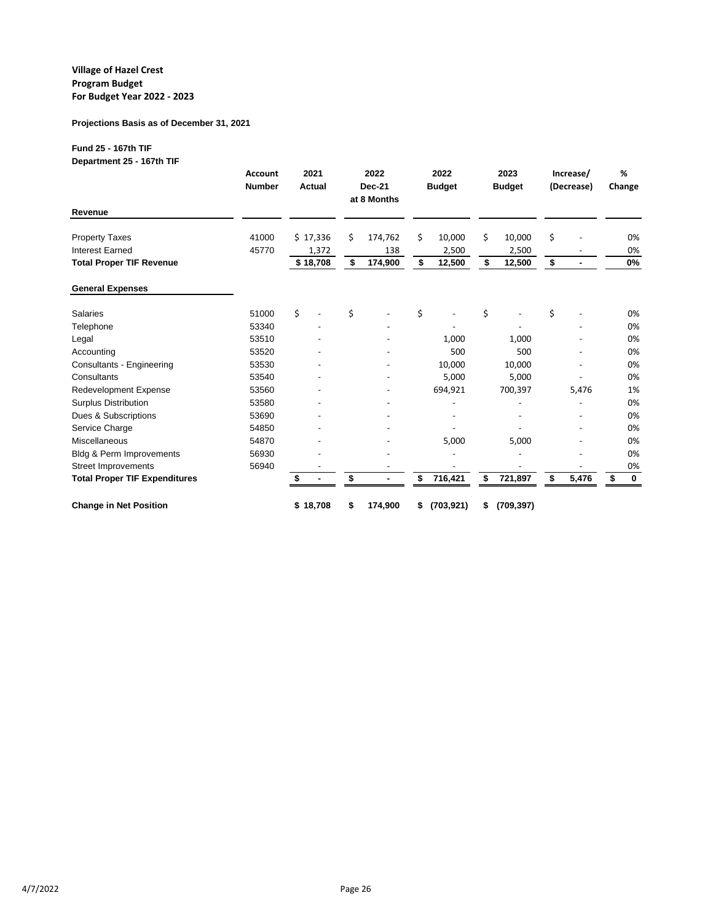### **Projections Basis as of December 31, 2021**

## **Fund 25 - 167th TIF**

**Department 25 - 167th TIF**

|                                      | <b>Account</b><br><b>Number</b> | 2021<br>Actual | 2022<br><b>Dec-21</b><br>at 8 Months | 2022<br><b>Budget</b> | 2023<br><b>Budget</b> | Increase/<br>(Decrease) | %<br>Change |             |
|--------------------------------------|---------------------------------|----------------|--------------------------------------|-----------------------|-----------------------|-------------------------|-------------|-------------|
| Revenue                              |                                 |                |                                      |                       |                       |                         |             |             |
| <b>Property Taxes</b>                | 41000                           | \$17,336       | \$<br>174,762                        | \$<br>10,000          | \$<br>10,000          | \$                      |             | 0%          |
| <b>Interest Earned</b>               | 45770                           | 1,372          | 138                                  | 2,500                 | 2,500                 |                         |             | 0%          |
| <b>Total Proper TIF Revenue</b>      |                                 | \$18,708       | \$<br>174,900                        | \$<br>12,500          | \$<br>12,500          | \$                      |             | 0%          |
| <b>General Expenses</b>              |                                 |                |                                      |                       |                       |                         |             |             |
| Salaries                             | 51000                           | \$             | \$                                   | \$                    | \$                    | \$                      |             | 0%          |
| Telephone                            | 53340                           |                |                                      |                       |                       |                         |             | 0%          |
| Legal                                | 53510                           |                |                                      | 1,000                 | 1,000                 |                         |             | 0%          |
| Accounting                           | 53520                           |                |                                      | 500                   | 500                   |                         |             | 0%          |
| Consultants - Engineering            | 53530                           |                |                                      | 10,000                | 10,000                |                         |             | 0%          |
| Consultants                          | 53540                           |                |                                      | 5,000                 | 5,000                 |                         |             | 0%          |
| <b>Redevelopment Expense</b>         | 53560                           |                |                                      | 694,921               | 700,397               | 5,476                   |             | 1%          |
| <b>Surplus Distribution</b>          | 53580                           |                |                                      |                       |                       |                         |             | 0%          |
| Dues & Subscriptions                 | 53690                           |                |                                      |                       |                       |                         |             | 0%          |
| Service Charge                       | 54850                           |                |                                      |                       |                       |                         |             | 0%          |
| <b>Miscellaneous</b>                 | 54870                           |                |                                      | 5,000                 | 5,000                 |                         |             | 0%          |
| Bldg & Perm Improvements             | 56930                           |                |                                      |                       |                       |                         |             | 0%          |
| <b>Street Improvements</b>           | 56940                           |                |                                      |                       |                       |                         |             | 0%          |
| <b>Total Proper TIF Expenditures</b> |                                 |                | \$                                   | \$<br>716,421         | \$<br>721,897         | \$<br>5,476             | \$          | $\mathbf 0$ |
| <b>Change in Net Position</b>        |                                 | \$18,708       | \$<br>174,900                        | \$<br>(703, 921)      | \$<br>(709, 397)      |                         |             |             |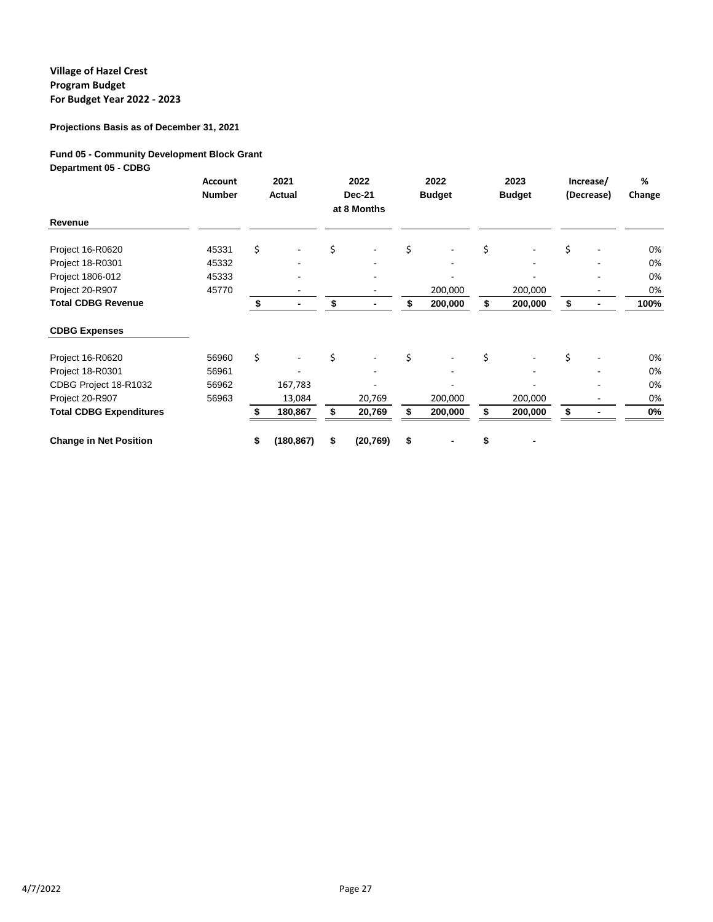## **Projections Basis as of December 31, 2021**

## **Fund 05 - Community Development Block Grant**

**Department 05 - CDBG**

|                                | <b>Account</b><br><b>Number</b> | 2021<br>Actual                 | 2022<br><b>Dec-21</b><br>at 8 Months |    | 2022<br><b>Budget</b> |    | 2023<br><b>Budget</b> |    | Increase/<br>(Decrease) | %<br>Change |
|--------------------------------|---------------------------------|--------------------------------|--------------------------------------|----|-----------------------|----|-----------------------|----|-------------------------|-------------|
| Revenue                        |                                 |                                |                                      |    |                       |    |                       |    |                         |             |
| Project 16-R0620               | 45331                           | \$                             | \$                                   | \$ |                       | \$ |                       | \$ |                         | 0%          |
| Project 18-R0301               | 45332                           | ۰                              |                                      |    |                       |    |                       |    |                         | 0%          |
| Project 1806-012               | 45333                           |                                |                                      |    |                       |    |                       |    |                         | 0%          |
| Project 20-R907                | 45770                           |                                |                                      |    | 200,000               |    | 200,000               |    |                         | 0%          |
| <b>Total CDBG Revenue</b>      |                                 | \$<br>۰                        | \$<br>$\blacksquare$                 |    | 200,000               | S  | 200,000               | \$ |                         | 100%        |
| <b>CDBG Expenses</b>           |                                 |                                |                                      |    |                       |    |                       |    |                         |             |
| Project 16-R0620               | 56960                           | \$<br>$\overline{\phantom{a}}$ | \$                                   | \$ |                       | \$ |                       | \$ |                         | 0%          |
| Project 18-R0301               | 56961                           |                                |                                      |    |                       |    |                       |    |                         | 0%          |
| CDBG Project 18-R1032          | 56962                           | 167,783                        |                                      |    |                       |    |                       |    |                         | 0%          |
| Project 20-R907                | 56963                           | 13,084                         | 20,769                               |    | 200,000               |    | 200,000               |    |                         | 0%          |
| <b>Total CDBG Expenditures</b> |                                 | 180,867                        | 20,769                               |    | 200,000               |    | 200,000               |    |                         | 0%          |
| <b>Change in Net Position</b>  |                                 | \$<br>(180, 867)               | \$<br>(20, 769)                      | \$ |                       | \$ |                       |    |                         |             |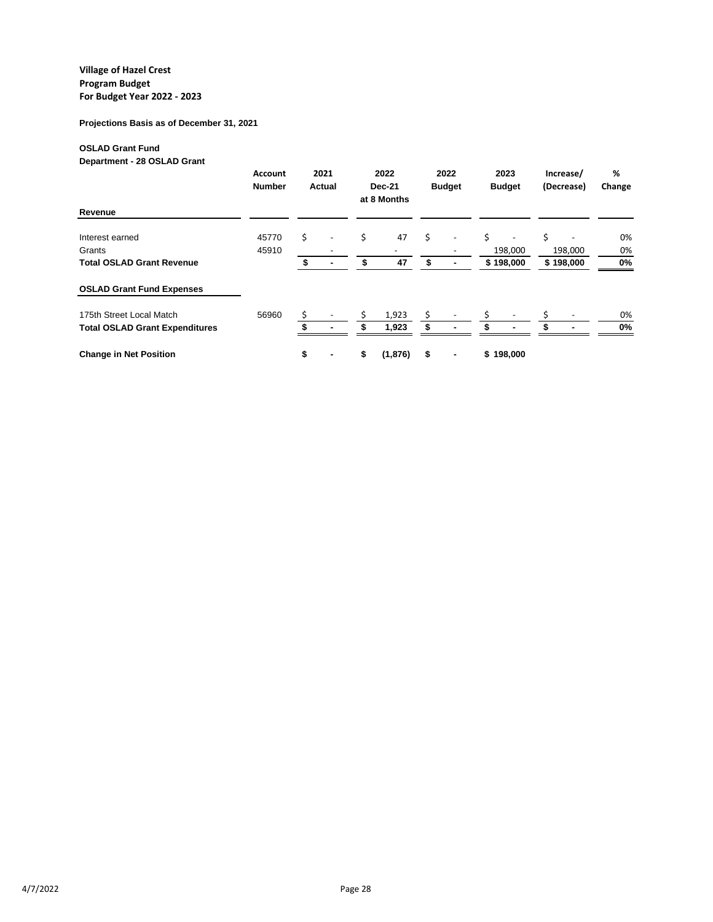**Projections Basis as of December 31, 2021**

## **OSLAD Grant Fund**

**Department - 28 OSLAD Grant**

|                                       | Account<br><b>Number</b> | 2021<br><b>Actual</b> |                |     | 2022<br><b>Dec-21</b><br>at 8 Months | 2022<br><b>Budget</b> |                          | 2023<br><b>Budget</b> |                          | Increase/<br>(Decrease) |           | %<br>Change |
|---------------------------------------|--------------------------|-----------------------|----------------|-----|--------------------------------------|-----------------------|--------------------------|-----------------------|--------------------------|-------------------------|-----------|-------------|
| Revenue                               |                          |                       |                |     |                                      |                       |                          |                       |                          |                         |           |             |
| Interest earned                       | 45770                    | \$                    |                | \$  | 47                                   | Ś.                    |                          | Ś.                    | $\overline{\phantom{0}}$ | Ś                       |           | 0%          |
| Grants                                | 45910                    |                       |                |     |                                      |                       | $\overline{\phantom{a}}$ |                       | 198,000                  |                         | 198,000   | 0%          |
| <b>Total OSLAD Grant Revenue</b>      |                          | \$                    | $\blacksquare$ | \$  | 47                                   | S                     | ۰                        |                       | \$198,000                |                         | \$198,000 | 0%          |
| <b>OSLAD Grant Fund Expenses</b>      |                          |                       |                |     |                                      |                       |                          |                       |                          |                         |           |             |
| 175th Street Local Match              | 56960                    | Ś                     |                | \$. | 1,923                                | \$                    |                          |                       |                          |                         |           | 0%          |
| <b>Total OSLAD Grant Expenditures</b> |                          |                       |                |     | 1,923                                |                       |                          |                       |                          |                         |           | 0%          |
| <b>Change in Net Position</b>         |                          | \$                    | ۰              | \$  | (1,876)                              | \$                    | ٠                        |                       | \$198,000                |                         |           |             |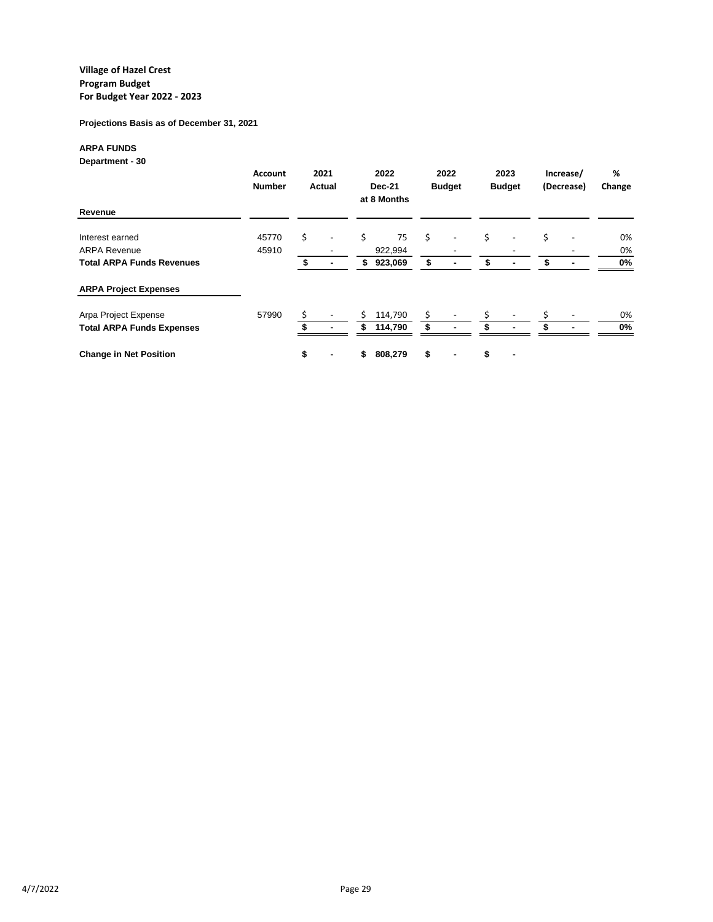**Projections Basis as of December 31, 2021**

## **ARPA FUNDS**

**Department - 30**

|                                  | <b>Account</b><br><b>Number</b> | 2021<br>Actual |  |    | 2022<br><b>Dec-21</b><br>at 8 Months | 2022<br><b>Budget</b>    | 2023<br><b>Budget</b> |                          | Increase/<br>(Decrease) |                          | %<br>Change |
|----------------------------------|---------------------------------|----------------|--|----|--------------------------------------|--------------------------|-----------------------|--------------------------|-------------------------|--------------------------|-------------|
| Revenue                          |                                 |                |  |    |                                      |                          |                       |                          |                         |                          |             |
| Interest earned                  | 45770                           | \$             |  | \$ | 75                                   | \$                       | Ś.                    | $\overline{a}$           | \$                      |                          | 0%          |
| <b>ARPA Revenue</b>              | 45910                           |                |  |    | 922,994                              | $\overline{\phantom{a}}$ |                       | $\overline{\phantom{a}}$ |                         | $\overline{\phantom{0}}$ | 0%          |
| <b>Total ARPA Funds Revenues</b> |                                 |                |  | \$ | 923,069                              | \$                       |                       | ۰                        | \$                      |                          | 0%          |
| <b>ARPA Project Expenses</b>     |                                 |                |  |    |                                      |                          |                       |                          |                         |                          |             |
| Arpa Project Expense             | 57990                           | Ś              |  | Ś. | 114,790                              | \$                       |                       |                          |                         |                          | 0%          |
| <b>Total ARPA Funds Expenses</b> |                                 |                |  | \$ | 114,790                              |                          |                       |                          |                         |                          | 0%          |
| <b>Change in Net Position</b>    |                                 | \$             |  | S  | 808,279                              | \$<br>۰                  | \$                    | ۰                        |                         |                          |             |